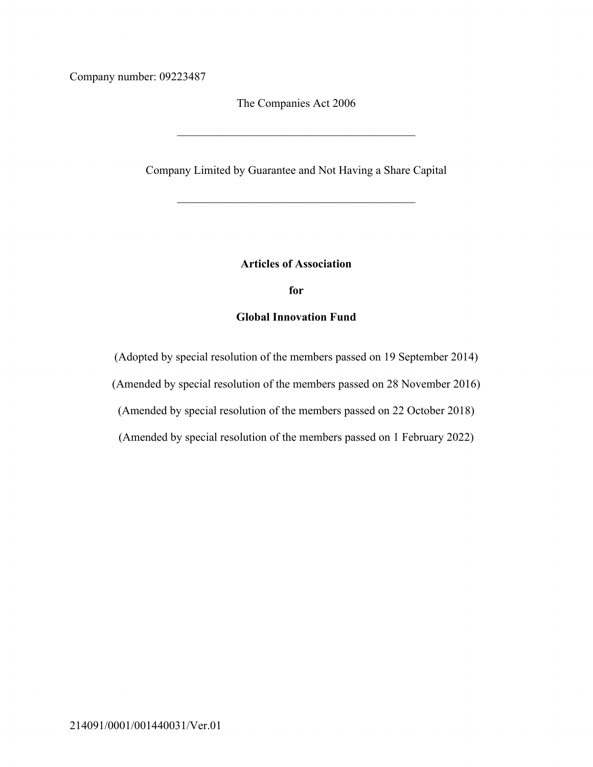Company number: 09223487

The Companies Act 2006

Company Limited by Guarantee and Not Having a Share Capital

#### **Articles of Association**

**for**

## **Global Innovation Fund**

(Adopted by special resolution of the members passed on 19 September 2014)

(Amended by special resolution of the members passed on 28 November 2016)

(Amended by special resolution of the members passed on 22 October 2018)

(Amended by special resolution of the members passed on 1 February 2022)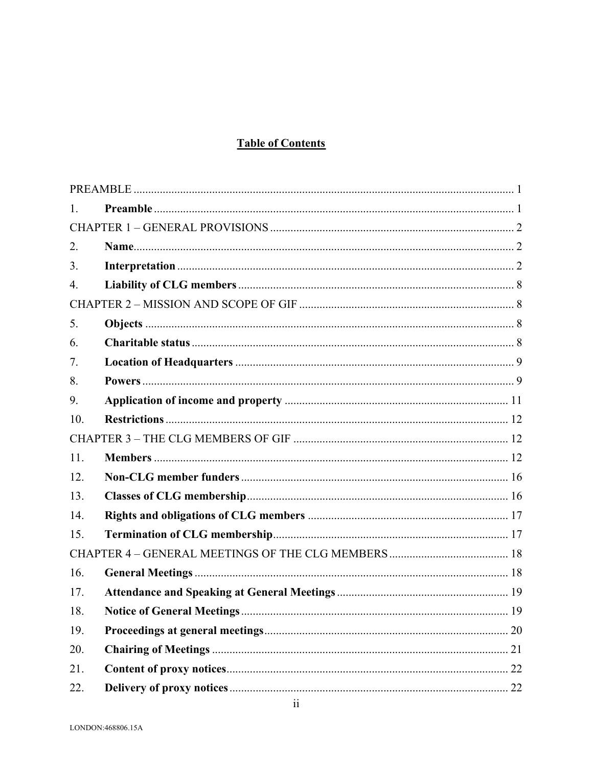# **Table of Contents**

| Ι.  |    |  |
|-----|----|--|
|     |    |  |
| 2.  |    |  |
| 3.  |    |  |
| 4.  |    |  |
|     |    |  |
| 5.  |    |  |
| 6.  |    |  |
| 7.  |    |  |
| 8.  |    |  |
| 9.  |    |  |
| 10. |    |  |
|     |    |  |
| 11. |    |  |
| 12. |    |  |
| 13. |    |  |
| 14. |    |  |
| 15. |    |  |
|     |    |  |
| 16. |    |  |
| 17. |    |  |
| 18. |    |  |
| 19. |    |  |
| 20. | 21 |  |
| 21. |    |  |
| 22. |    |  |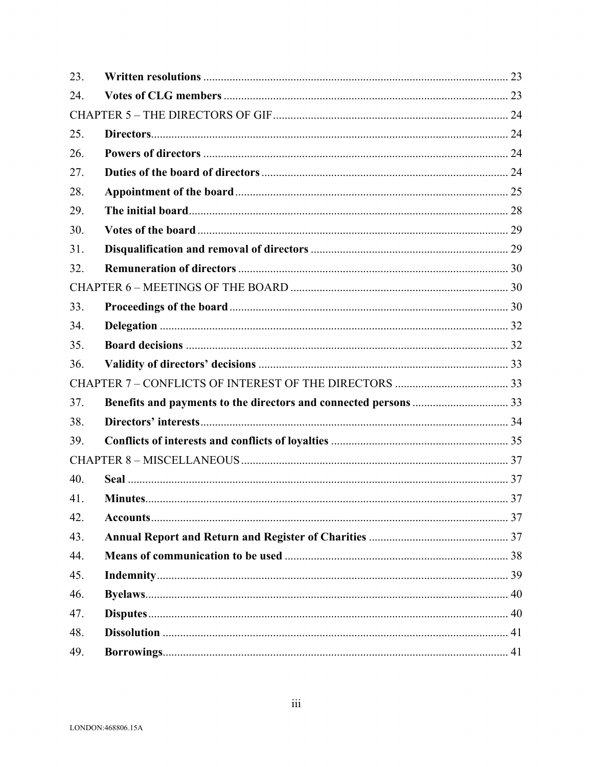| 23. |  |  |  |
|-----|--|--|--|
| 24. |  |  |  |
|     |  |  |  |
| 25. |  |  |  |
| 26. |  |  |  |
| 27. |  |  |  |
| 28. |  |  |  |
| 29. |  |  |  |
| 30. |  |  |  |
| 31. |  |  |  |
| 32. |  |  |  |
|     |  |  |  |
| 33. |  |  |  |
| 34. |  |  |  |
| 35. |  |  |  |
| 36. |  |  |  |
|     |  |  |  |
| 37. |  |  |  |
| 38. |  |  |  |
| 39. |  |  |  |
|     |  |  |  |
| 40. |  |  |  |
| 41. |  |  |  |
| 42. |  |  |  |
| 43. |  |  |  |
| 44. |  |  |  |
| 45. |  |  |  |
| 46. |  |  |  |
| 47. |  |  |  |
| 48. |  |  |  |
| 49. |  |  |  |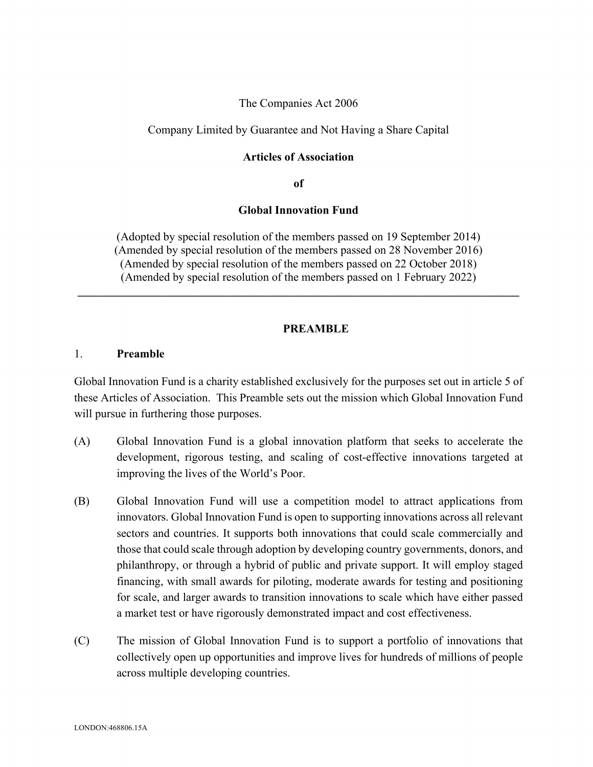#### The Companies Act 2006

#### Company Limited by Guarantee and Not Having a Share Capital

#### **Articles of Association**

**of**

#### **Global Innovation Fund**

(Adopted by special resolution of the members passed on 19 September 2014) (Amended by special resolution of the members passed on 28 November 2016) (Amended by special resolution of the members passed on 22 October 2018) (Amended by special resolution of the members passed on 1 February 2022)

 $\mathcal{L}_\mathcal{L} = \mathcal{L}_\mathcal{L} = \mathcal{L}_\mathcal{L} = \mathcal{L}_\mathcal{L} = \mathcal{L}_\mathcal{L} = \mathcal{L}_\mathcal{L} = \mathcal{L}_\mathcal{L} = \mathcal{L}_\mathcal{L} = \mathcal{L}_\mathcal{L} = \mathcal{L}_\mathcal{L} = \mathcal{L}_\mathcal{L} = \mathcal{L}_\mathcal{L} = \mathcal{L}_\mathcal{L} = \mathcal{L}_\mathcal{L} = \mathcal{L}_\mathcal{L} = \mathcal{L}_\mathcal{L} = \mathcal{L}_\mathcal{L}$ 

#### **PREAMBLE**

## 1. **Preamble**

Global Innovation Fund is a charity established exclusively for the purposes set out in article 5 of these Articles of Association. This Preamble sets out the mission which Global Innovation Fund will pursue in furthering those purposes.

- (A) Global Innovation Fund is a global innovation platform that seeks to accelerate the development, rigorous testing, and scaling of cost-effective innovations targeted at improving the lives of the World's Poor.
- (B) Global Innovation Fund will use a competition model to attract applications from innovators. Global Innovation Fund is open to supporting innovations across all relevant sectors and countries. It supports both innovations that could scale commercially and those that could scale through adoption by developing country governments, donors, and philanthropy, or through a hybrid of public and private support. It will employ staged financing, with small awards for piloting, moderate awards for testing and positioning for scale, and larger awards to transition innovations to scale which have either passed a market test or have rigorously demonstrated impact and cost effectiveness.
- (C) The mission of Global Innovation Fund is to support a portfolio of innovations that collectively open up opportunities and improve lives for hundreds of millions of people across multiple developing countries.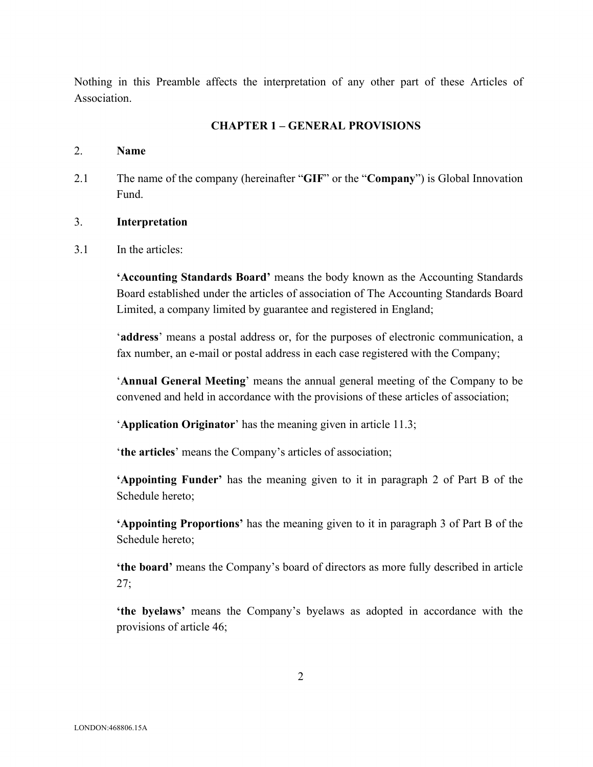Nothing in this Preamble affects the interpretation of any other part of these Articles of Association.

## **CHAPTER 1 – GENERAL PROVISIONS**

#### 2. **Name**

2.1 The name of the company (hereinafter "**GIF**" or the "**Company**") is Global Innovation Fund.

## 3. **Interpretation**

3.1 In the articles:

**'Accounting Standards Board'** means the body known as the Accounting Standards Board established under the articles of association of The Accounting Standards Board Limited, a company limited by guarantee and registered in England;

'**address**' means a postal address or, for the purposes of electronic communication, a fax number, an e-mail or postal address in each case registered with the Company;

'**Annual General Meeting**' means the annual general meeting of the Company to be convened and held in accordance with the provisions of these articles of association;

'**Application Originator**' has the meaning given in article 11.3;

'**the articles**' means the Company's articles of association;

**'Appointing Funder'** has the meaning given to it in paragraph 2 of Part B of the Schedule hereto;

**'Appointing Proportions'** has the meaning given to it in paragraph 3 of Part B of the Schedule hereto;

**'the board'** means the Company's board of directors as more fully described in article 27;

**'the byelaws'** means the Company's byelaws as adopted in accordance with the provisions of article 46;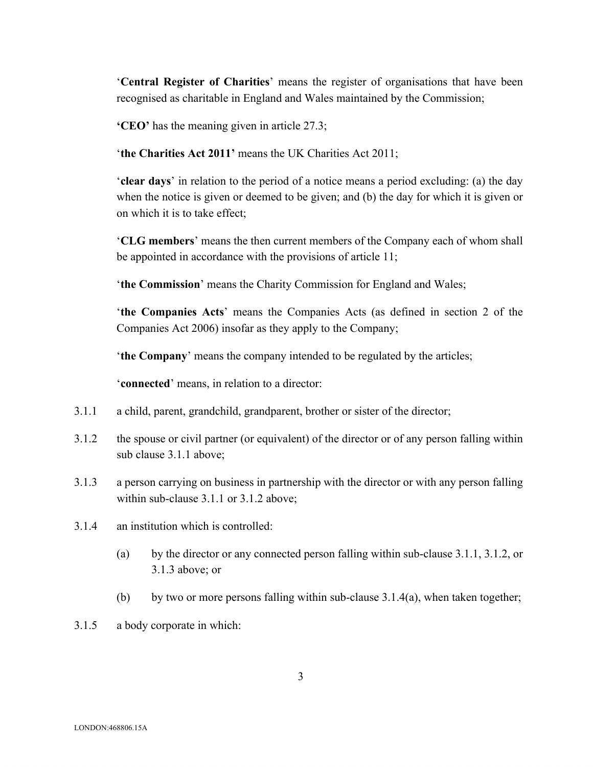'**Central Register of Charities**' means the register of organisations that have been recognised as charitable in England and Wales maintained by the Commission;

**'CEO'** has the meaning given in article 27.3;

'**the Charities Act 2011'** means the UK Charities Act 2011;

'**clear days**' in relation to the period of a notice means a period excluding: (a) the day when the notice is given or deemed to be given; and (b) the day for which it is given or on which it is to take effect;

'**CLG members**' means the then current members of the Company each of whom shall be appointed in accordance with the provisions of article 11;

'**the Commission**' means the Charity Commission for England and Wales;

'**the Companies Acts**' means the Companies Acts (as defined in section 2 of the Companies Act 2006) insofar as they apply to the Company;

'**the Company**' means the company intended to be regulated by the articles;

'**connected**' means, in relation to a director:

- 3.1.1 a child, parent, grandchild, grandparent, brother or sister of the director;
- 3.1.2 the spouse or civil partner (or equivalent) of the director or of any person falling within sub clause 3.1.1 above;
- 3.1.3 a person carrying on business in partnership with the director or with any person falling within sub-clause 3.1.1 or 3.1.2 above;
- 3.1.4 an institution which is controlled:
	- (a) by the director or any connected person falling within sub-clause 3.1.1, 3.1.2, or 3.1.3 above; or
	- (b) by two or more persons falling within sub-clause  $3.1.4(a)$ , when taken together;
- 3.1.5 a body corporate in which: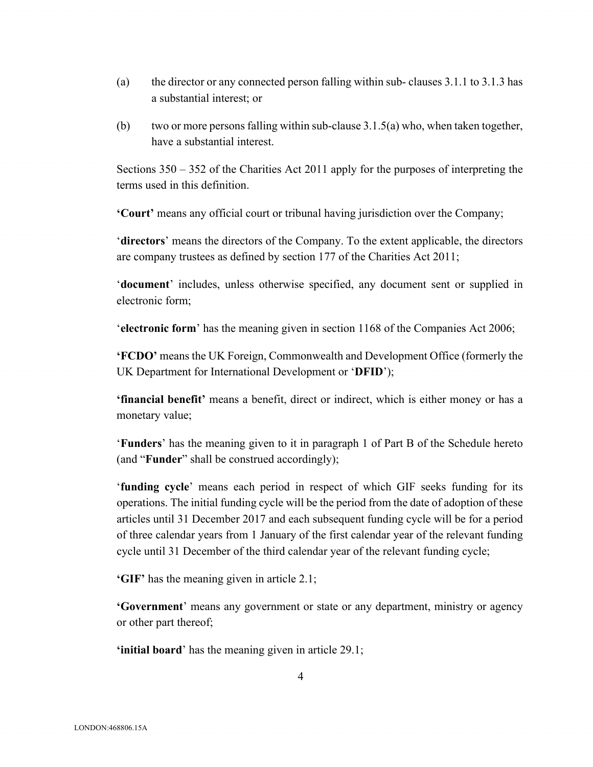- (a) the director or any connected person falling within sub- clauses 3.1.1 to 3.1.3 has a substantial interest; or
- (b) two or more persons falling within sub-clause  $3.1.5(a)$  who, when taken together, have a substantial interest.

Sections 350 – 352 of the Charities Act 2011 apply for the purposes of interpreting the terms used in this definition.

**'Court'** means any official court or tribunal having jurisdiction over the Company;

'**directors**' means the directors of the Company. To the extent applicable, the directors are company trustees as defined by section 177 of the Charities Act 2011;

'**document**' includes, unless otherwise specified, any document sent or supplied in electronic form;

'**electronic form**' has the meaning given in section 1168 of the Companies Act 2006;

**'FCDO'** means the UK Foreign, Commonwealth and Development Office (formerly the UK Department for International Development or '**DFID**');

**'financial benefit'** means a benefit, direct or indirect, which is either money or has a monetary value;

'**Funders**' has the meaning given to it in paragraph 1 of Part B of the Schedule hereto (and "**Funder**" shall be construed accordingly);

'**funding cycle**' means each period in respect of which GIF seeks funding for its operations. The initial funding cycle will be the period from the date of adoption of these articles until 31 December 2017 and each subsequent funding cycle will be for a period of three calendar years from 1 January of the first calendar year of the relevant funding cycle until 31 December of the third calendar year of the relevant funding cycle;

**'GIF'** has the meaning given in article 2.1;

**'Government**' means any government or state or any department, ministry or agency or other part thereof;

**'initial board**' has the meaning given in article 29.1;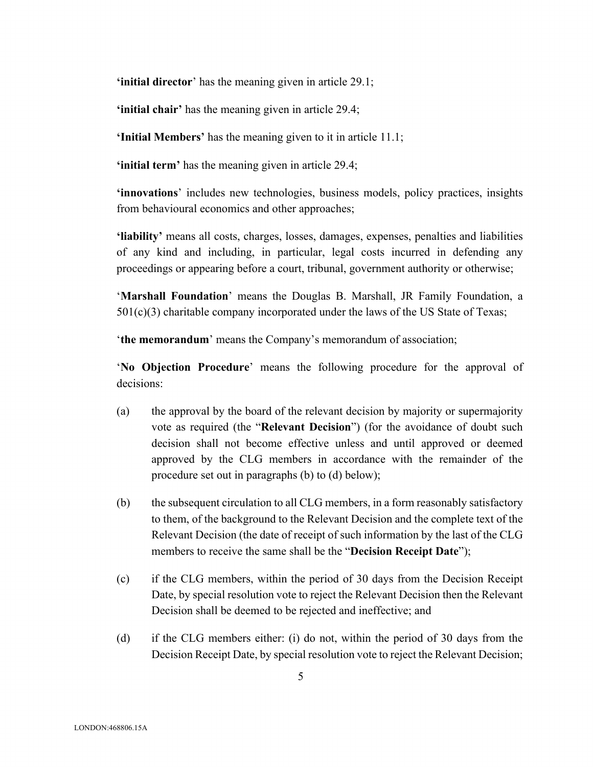**'initial director**' has the meaning given in article 29.1;

**'initial chair'** has the meaning given in article 29.4;

**'Initial Members'** has the meaning given to it in article 11.1;

**'initial term'** has the meaning given in article 29.4;

**'innovations**' includes new technologies, business models, policy practices, insights from behavioural economics and other approaches;

**'liability'** means all costs, charges, losses, damages, expenses, penalties and liabilities of any kind and including, in particular, legal costs incurred in defending any proceedings or appearing before a court, tribunal, government authority or otherwise;

'**Marshall Foundation**' means the Douglas B. Marshall, JR Family Foundation, a 501(c)(3) charitable company incorporated under the laws of the US State of Texas;

'**the memorandum**' means the Company's memorandum of association;

'**No Objection Procedure**' means the following procedure for the approval of decisions:

- (a) the approval by the board of the relevant decision by majority or supermajority vote as required (the "**Relevant Decision**") (for the avoidance of doubt such decision shall not become effective unless and until approved or deemed approved by the CLG members in accordance with the remainder of the procedure set out in paragraphs (b) to (d) below);
- (b) the subsequent circulation to all CLG members, in a form reasonably satisfactory to them, of the background to the Relevant Decision and the complete text of the Relevant Decision (the date of receipt of such information by the last of the CLG members to receive the same shall be the "**Decision Receipt Date**");
- (c) if the CLG members, within the period of 30 days from the Decision Receipt Date, by special resolution vote to reject the Relevant Decision then the Relevant Decision shall be deemed to be rejected and ineffective; and
- (d) if the CLG members either: (i) do not, within the period of 30 days from the Decision Receipt Date, by special resolution vote to reject the Relevant Decision;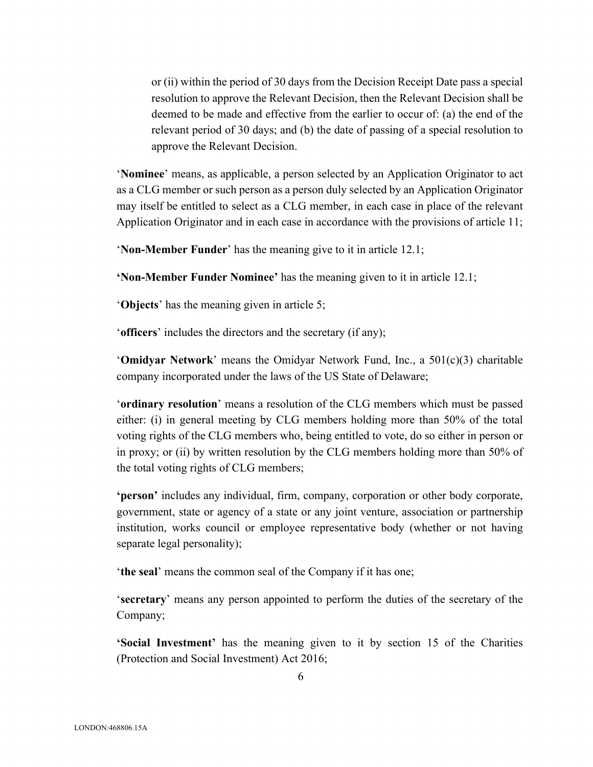or (ii) within the period of 30 days from the Decision Receipt Date pass a special resolution to approve the Relevant Decision, then the Relevant Decision shall be deemed to be made and effective from the earlier to occur of: (a) the end of the relevant period of 30 days; and (b) the date of passing of a special resolution to approve the Relevant Decision.

'**Nominee**' means, as applicable, a person selected by an Application Originator to act as a CLG member or such person as a person duly selected by an Application Originator may itself be entitled to select as a CLG member, in each case in place of the relevant Application Originator and in each case in accordance with the provisions of article 11;

'**Non-Member Funder**' has the meaning give to it in article 12.1;

**'Non-Member Funder Nominee'** has the meaning given to it in article 12.1;

'**Objects**' has the meaning given in article 5;

'**officers**' includes the directors and the secretary (if any);

'**Omidyar Network**' means the Omidyar Network Fund, Inc., a 501(c)(3) charitable company incorporated under the laws of the US State of Delaware;

'**ordinary resolution**' means a resolution of the CLG members which must be passed either: (i) in general meeting by CLG members holding more than 50% of the total voting rights of the CLG members who, being entitled to vote, do so either in person or in proxy; or (ii) by written resolution by the CLG members holding more than 50% of the total voting rights of CLG members;

**'person'** includes any individual, firm, company, corporation or other body corporate, government, state or agency of a state or any joint venture, association or partnership institution, works council or employee representative body (whether or not having separate legal personality);

'**the seal**' means the common seal of the Company if it has one;

'**secretary**' means any person appointed to perform the duties of the secretary of the Company;

**'Social Investment'** has the meaning given to it by section 15 of the Charities (Protection and Social Investment) Act 2016;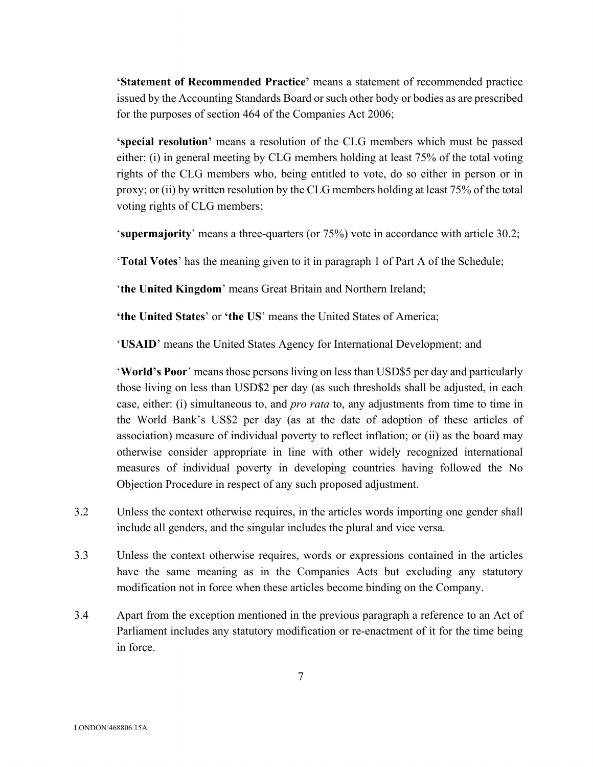**'Statement of Recommended Practice'** means a statement of recommended practice issued by the Accounting Standards Board or such other body or bodies as are prescribed for the purposes of section 464 of the Companies Act 2006;

**'special resolution'** means a resolution of the CLG members which must be passed either: (i) in general meeting by CLG members holding at least 75% of the total voting rights of the CLG members who, being entitled to vote, do so either in person or in proxy; or (ii) by written resolution by the CLG members holding at least 75% of the total voting rights of CLG members;

'**supermajority**' means a three-quarters (or 75%) vote in accordance with article 30.2;

'**Total Votes**' has the meaning given to it in paragraph 1 of Part A of the Schedule;

'**the United Kingdom**' means Great Britain and Northern Ireland;

**'the United States**' or **'the US**' means the United States of America;

'**USAID**' means the United States Agency for International Development; and

'**World's Poor**' means those persons living on less than USD\$5 per day and particularly those living on less than USD\$2 per day (as such thresholds shall be adjusted, in each case, either: (i) simultaneous to, and *pro rata* to, any adjustments from time to time in the World Bank's US\$2 per day (as at the date of adoption of these articles of association) measure of individual poverty to reflect inflation; or (ii) as the board may otherwise consider appropriate in line with other widely recognized international measures of individual poverty in developing countries having followed the No Objection Procedure in respect of any such proposed adjustment.

- 3.2 Unless the context otherwise requires, in the articles words importing one gender shall include all genders, and the singular includes the plural and vice versa.
- 3.3 Unless the context otherwise requires, words or expressions contained in the articles have the same meaning as in the Companies Acts but excluding any statutory modification not in force when these articles become binding on the Company.
- 3.4 Apart from the exception mentioned in the previous paragraph a reference to an Act of Parliament includes any statutory modification or re-enactment of it for the time being in force.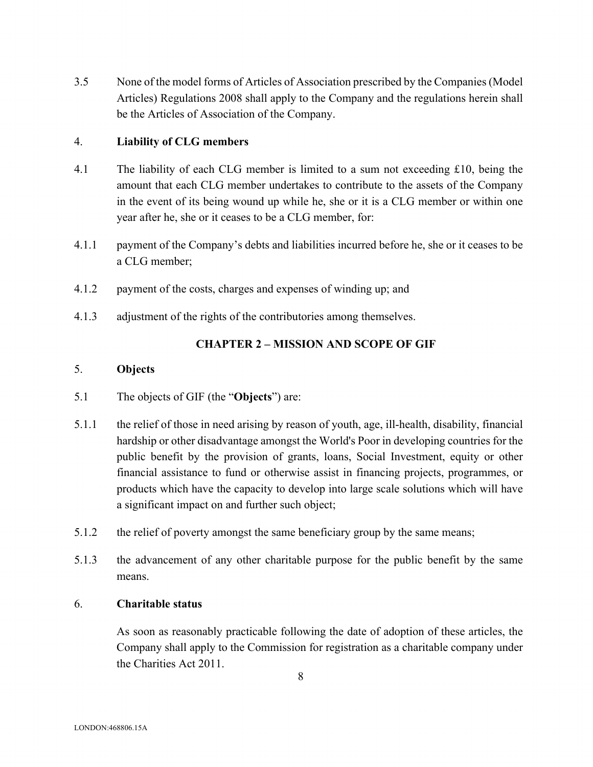3.5 None of the model forms of Articles of Association prescribed by the Companies (Model Articles) Regulations 2008 shall apply to the Company and the regulations herein shall be the Articles of Association of the Company.

## 4. **Liability of CLG members**

- 4.1 The liability of each CLG member is limited to a sum not exceeding £10, being the amount that each CLG member undertakes to contribute to the assets of the Company in the event of its being wound up while he, she or it is a CLG member or within one year after he, she or it ceases to be a CLG member, for:
- 4.1.1 payment of the Company's debts and liabilities incurred before he, she or it ceases to be a CLG member;
- 4.1.2 payment of the costs, charges and expenses of winding up; and
- 4.1.3 adjustment of the rights of the contributories among themselves.

# **CHAPTER 2 – MISSION AND SCOPE OF GIF**

## 5. **Objects**

- 5.1 The objects of GIF (the "**Objects**") are:
- 5.1.1 the relief of those in need arising by reason of youth, age, ill-health, disability, financial hardship or other disadvantage amongst the World's Poor in developing countries for the public benefit by the provision of grants, loans, Social Investment, equity or other financial assistance to fund or otherwise assist in financing projects, programmes, or products which have the capacity to develop into large scale solutions which will have a significant impact on and further such object;
- 5.1.2 the relief of poverty amongst the same beneficiary group by the same means;
- 5.1.3 the advancement of any other charitable purpose for the public benefit by the same means.

## 6. **Charitable status**

As soon as reasonably practicable following the date of adoption of these articles, the Company shall apply to the Commission for registration as a charitable company under the Charities Act 2011.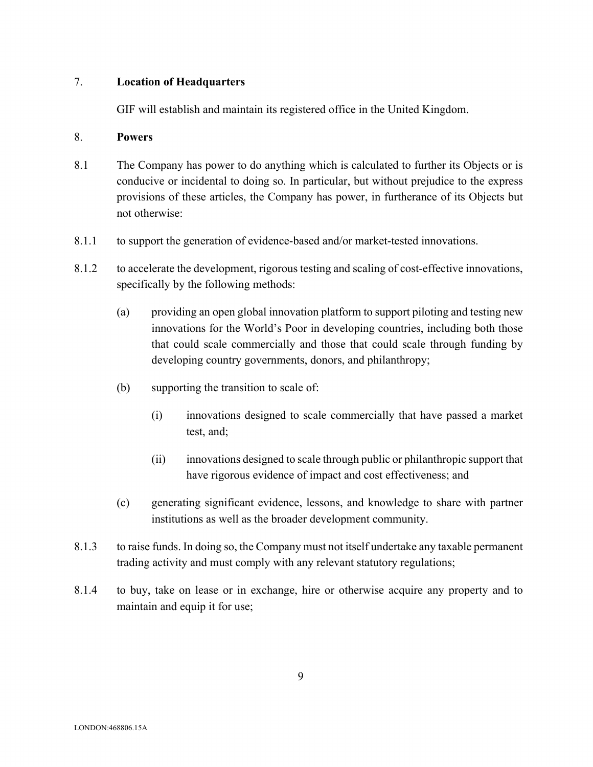## 7. **Location of Headquarters**

GIF will establish and maintain its registered office in the United Kingdom.

#### 8. **Powers**

- 8.1 The Company has power to do anything which is calculated to further its Objects or is conducive or incidental to doing so. In particular, but without prejudice to the express provisions of these articles, the Company has power, in furtherance of its Objects but not otherwise:
- 8.1.1 to support the generation of evidence-based and/or market-tested innovations.
- 8.1.2 to accelerate the development, rigorous testing and scaling of cost-effective innovations, specifically by the following methods:
	- (a) providing an open global innovation platform to support piloting and testing new innovations for the World's Poor in developing countries, including both those that could scale commercially and those that could scale through funding by developing country governments, donors, and philanthropy;
	- (b) supporting the transition to scale of:
		- (i) innovations designed to scale commercially that have passed a market test, and;
		- (ii) innovations designed to scale through public or philanthropic support that have rigorous evidence of impact and cost effectiveness; and
	- (c) generating significant evidence, lessons, and knowledge to share with partner institutions as well as the broader development community.
- 8.1.3 to raise funds. In doing so, the Company must not itself undertake any taxable permanent trading activity and must comply with any relevant statutory regulations;
- 8.1.4 to buy, take on lease or in exchange, hire or otherwise acquire any property and to maintain and equip it for use;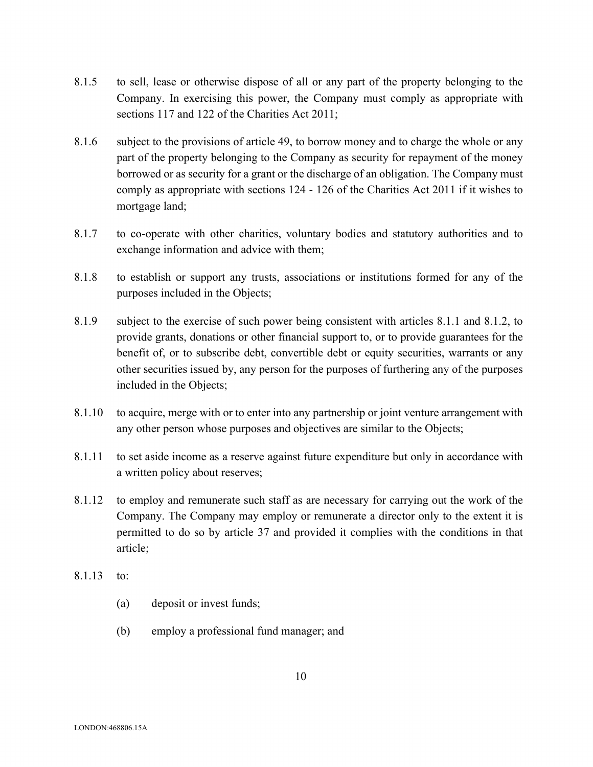- 8.1.5 to sell, lease or otherwise dispose of all or any part of the property belonging to the Company. In exercising this power, the Company must comply as appropriate with sections 117 and 122 of the Charities Act 2011;
- 8.1.6 subject to the provisions of article 49, to borrow money and to charge the whole or any part of the property belonging to the Company as security for repayment of the money borrowed or as security for a grant or the discharge of an obligation. The Company must comply as appropriate with sections 124 - 126 of the Charities Act 2011 if it wishes to mortgage land;
- 8.1.7 to co-operate with other charities, voluntary bodies and statutory authorities and to exchange information and advice with them;
- 8.1.8 to establish or support any trusts, associations or institutions formed for any of the purposes included in the Objects;
- 8.1.9 subject to the exercise of such power being consistent with articles 8.1.1 and 8.1.2, to provide grants, donations or other financial support to, or to provide guarantees for the benefit of, or to subscribe debt, convertible debt or equity securities, warrants or any other securities issued by, any person for the purposes of furthering any of the purposes included in the Objects;
- 8.1.10 to acquire, merge with or to enter into any partnership or joint venture arrangement with any other person whose purposes and objectives are similar to the Objects;
- 8.1.11 to set aside income as a reserve against future expenditure but only in accordance with a written policy about reserves;
- 8.1.12 to employ and remunerate such staff as are necessary for carrying out the work of the Company. The Company may employ or remunerate a director only to the extent it is permitted to do so by article 37 and provided it complies with the conditions in that article;
- 8.1.13 to:
	- (a) deposit or invest funds;
	- (b) employ a professional fund manager; and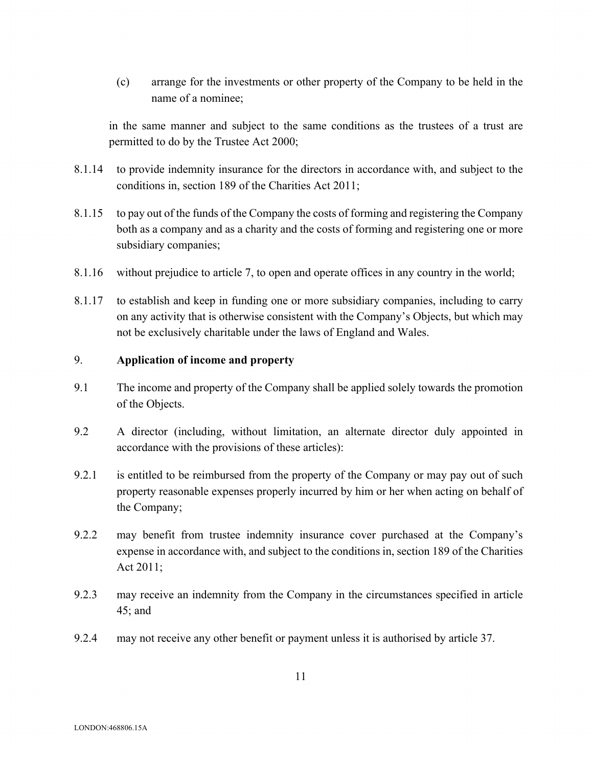(c) arrange for the investments or other property of the Company to be held in the name of a nominee;

in the same manner and subject to the same conditions as the trustees of a trust are permitted to do by the Trustee Act 2000;

- 8.1.14 to provide indemnity insurance for the directors in accordance with, and subject to the conditions in, section 189 of the Charities Act 2011;
- 8.1.15 to pay out of the funds of the Company the costs of forming and registering the Company both as a company and as a charity and the costs of forming and registering one or more subsidiary companies;
- 8.1.16 without prejudice to article 7, to open and operate offices in any country in the world;
- 8.1.17 to establish and keep in funding one or more subsidiary companies, including to carry on any activity that is otherwise consistent with the Company's Objects, but which may not be exclusively charitable under the laws of England and Wales.

## 9. **Application of income and property**

- 9.1 The income and property of the Company shall be applied solely towards the promotion of the Objects.
- 9.2 A director (including, without limitation, an alternate director duly appointed in accordance with the provisions of these articles):
- 9.2.1 is entitled to be reimbursed from the property of the Company or may pay out of such property reasonable expenses properly incurred by him or her when acting on behalf of the Company;
- 9.2.2 may benefit from trustee indemnity insurance cover purchased at the Company's expense in accordance with, and subject to the conditions in, section 189 of the Charities Act 2011;
- 9.2.3 may receive an indemnity from the Company in the circumstances specified in article 45; and
- 9.2.4 may not receive any other benefit or payment unless it is authorised by article 37.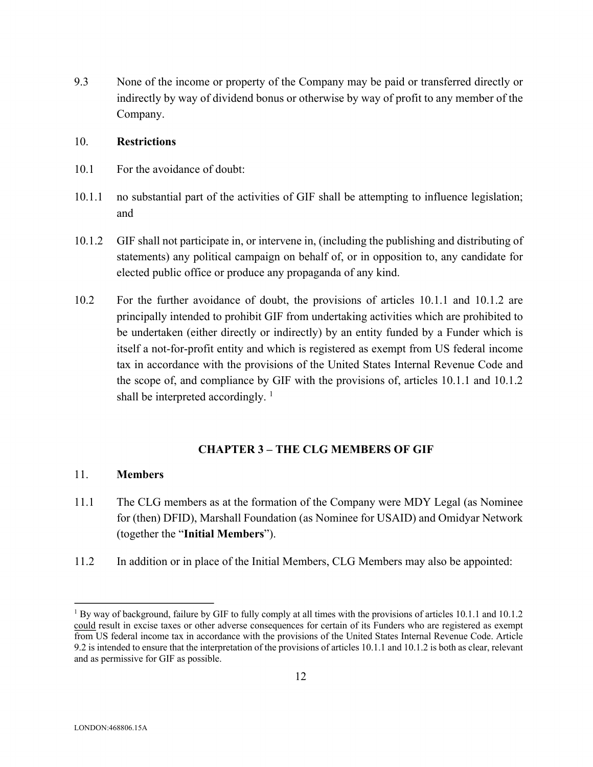9.3 None of the income or property of the Company may be paid or transferred directly or indirectly by way of dividend bonus or otherwise by way of profit to any member of the Company.

## 10. **Restrictions**

- 10.1 For the avoidance of doubt:
- 10.1.1 no substantial part of the activities of GIF shall be attempting to influence legislation; and
- 10.1.2 GIF shall not participate in, or intervene in, (including the publishing and distributing of statements) any political campaign on behalf of, or in opposition to, any candidate for elected public office or produce any propaganda of any kind.
- 10.2 For the further avoidance of doubt, the provisions of articles 10.1.1 and 10.1.2 are principally intended to prohibit GIF from undertaking activities which are prohibited to be undertaken (either directly or indirectly) by an entity funded by a Funder which is itself a not-for-profit entity and which is registered as exempt from US federal income tax in accordance with the provisions of the United States Internal Revenue Code and the scope of, and compliance by GIF with the provisions of, articles 10.1.1 and 10.1.2 shall be interpreted accordingly.  $\frac{1}{1}$

# **CHAPTER 3 – THE CLG MEMBERS OF GIF**

# 11. **Members**

- 11.1 The CLG members as at the formation of the Company were MDY Legal (as Nominee for (then) DFID), Marshall Foundation (as Nominee for USAID) and Omidyar Network (together the "**Initial Members**").
- 11.2 In addition or in place of the Initial Members, CLG Members may also be appointed:

<sup>&</sup>lt;sup>1</sup> By way of background, failure by GIF to fully comply at all times with the provisions of articles 10.1.1 and 10.1.2 could result in excise taxes or other adverse consequences for certain of its Funders who are registered as exempt from US federal income tax in accordance with the provisions of the United States Internal Revenue Code. Article 9.2 is intended to ensure that the interpretation of the provisions of articles 10.1.1 and 10.1.2 is both as clear, relevant and as permissive for GIF as possible.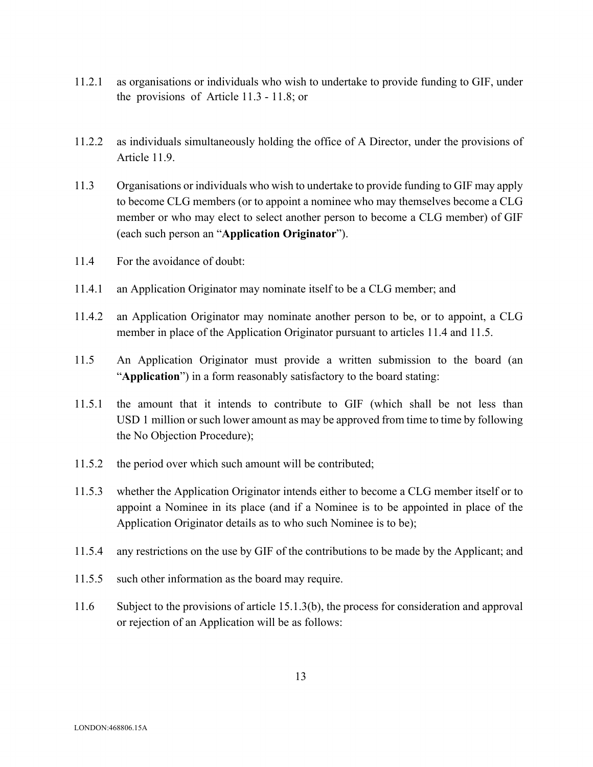- 11.2.1 as organisations or individuals who wish to undertake to provide funding to GIF, under the provisions of Article 11.3 - 11.8; or
- 11.2.2 as individuals simultaneously holding the office of A Director, under the provisions of Article 11.9.
- 11.3 Organisations or individuals who wish to undertake to provide funding to GIF may apply to become CLG members (or to appoint a nominee who may themselves become a CLG member or who may elect to select another person to become a CLG member) of GIF (each such person an "**Application Originator**").
- 11.4 For the avoidance of doubt:
- 11.4.1 an Application Originator may nominate itself to be a CLG member; and
- 11.4.2 an Application Originator may nominate another person to be, or to appoint, a CLG member in place of the Application Originator pursuant to articles 11.4 and 11.5.
- 11.5 An Application Originator must provide a written submission to the board (an "**Application**") in a form reasonably satisfactory to the board stating:
- 11.5.1 the amount that it intends to contribute to GIF (which shall be not less than USD 1 million or such lower amount as may be approved from time to time by following the No Objection Procedure);
- 11.5.2 the period over which such amount will be contributed;
- 11.5.3 whether the Application Originator intends either to become a CLG member itself or to appoint a Nominee in its place (and if a Nominee is to be appointed in place of the Application Originator details as to who such Nominee is to be);
- 11.5.4 any restrictions on the use by GIF of the contributions to be made by the Applicant; and
- 11.5.5 such other information as the board may require.
- 11.6 Subject to the provisions of article 15.1.3(b), the process for consideration and approval or rejection of an Application will be as follows: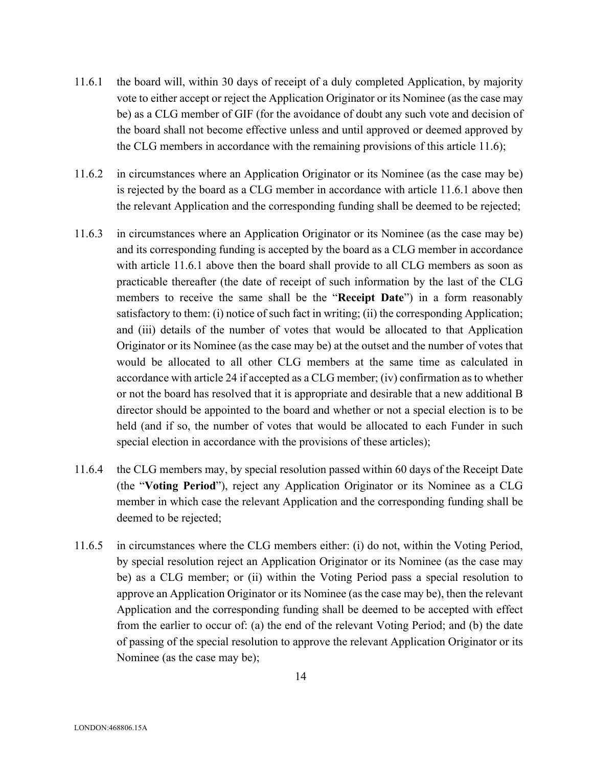- 11.6.1 the board will, within 30 days of receipt of a duly completed Application, by majority vote to either accept or reject the Application Originator or its Nominee (as the case may be) as a CLG member of GIF (for the avoidance of doubt any such vote and decision of the board shall not become effective unless and until approved or deemed approved by the CLG members in accordance with the remaining provisions of this article 11.6);
- 11.6.2 in circumstances where an Application Originator or its Nominee (as the case may be) is rejected by the board as a CLG member in accordance with article 11.6.1 above then the relevant Application and the corresponding funding shall be deemed to be rejected;
- 11.6.3 in circumstances where an Application Originator or its Nominee (as the case may be) and its corresponding funding is accepted by the board as a CLG member in accordance with article 11.6.1 above then the board shall provide to all CLG members as soon as practicable thereafter (the date of receipt of such information by the last of the CLG members to receive the same shall be the "**Receipt Date**") in a form reasonably satisfactory to them: (i) notice of such fact in writing; (ii) the corresponding Application; and (iii) details of the number of votes that would be allocated to that Application Originator or its Nominee (as the case may be) at the outset and the number of votes that would be allocated to all other CLG members at the same time as calculated in accordance with article 24 if accepted as a CLG member; (iv) confirmation as to whether or not the board has resolved that it is appropriate and desirable that a new additional B director should be appointed to the board and whether or not a special election is to be held (and if so, the number of votes that would be allocated to each Funder in such special election in accordance with the provisions of these articles);
- 11.6.4 the CLG members may, by special resolution passed within 60 days of the Receipt Date (the "**Voting Period**"), reject any Application Originator or its Nominee as a CLG member in which case the relevant Application and the corresponding funding shall be deemed to be rejected;
- 11.6.5 in circumstances where the CLG members either: (i) do not, within the Voting Period, by special resolution reject an Application Originator or its Nominee (as the case may be) as a CLG member; or (ii) within the Voting Period pass a special resolution to approve an Application Originator or its Nominee (as the case may be), then the relevant Application and the corresponding funding shall be deemed to be accepted with effect from the earlier to occur of: (a) the end of the relevant Voting Period; and (b) the date of passing of the special resolution to approve the relevant Application Originator or its Nominee (as the case may be);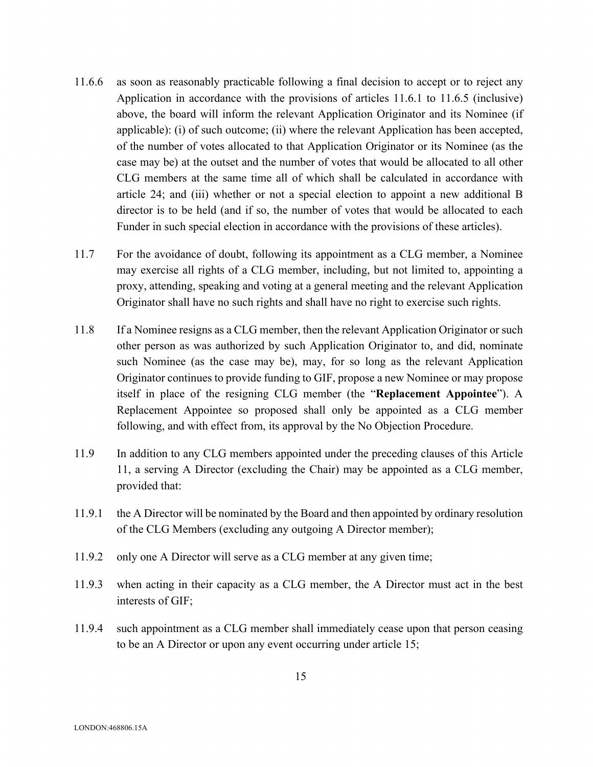- 11.6.6 as soon as reasonably practicable following a final decision to accept or to reject any Application in accordance with the provisions of articles 11.6.1 to 11.6.5 (inclusive) above, the board will inform the relevant Application Originator and its Nominee (if applicable): (i) of such outcome; (ii) where the relevant Application has been accepted, of the number of votes allocated to that Application Originator or its Nominee (as the case may be) at the outset and the number of votes that would be allocated to all other CLG members at the same time all of which shall be calculated in accordance with article 24; and (iii) whether or not a special election to appoint a new additional B director is to be held (and if so, the number of votes that would be allocated to each Funder in such special election in accordance with the provisions of these articles).
- 11.7 For the avoidance of doubt, following its appointment as a CLG member, a Nominee may exercise all rights of a CLG member, including, but not limited to, appointing a proxy, attending, speaking and voting at a general meeting and the relevant Application Originator shall have no such rights and shall have no right to exercise such rights.
- 11.8 If a Nominee resigns as a CLG member, then the relevant Application Originator or such other person as was authorized by such Application Originator to, and did, nominate such Nominee (as the case may be), may, for so long as the relevant Application Originator continues to provide funding to GIF, propose a new Nominee or may propose itself in place of the resigning CLG member (the "**Replacement Appointee**"). A Replacement Appointee so proposed shall only be appointed as a CLG member following, and with effect from, its approval by the No Objection Procedure.
- 11.9 In addition to any CLG members appointed under the preceding clauses of this Article 11, a serving A Director (excluding the Chair) may be appointed as a CLG member, provided that:
- 11.9.1 the A Director will be nominated by the Board and then appointed by ordinary resolution of the CLG Members (excluding any outgoing A Director member);
- 11.9.2 only one A Director will serve as a CLG member at any given time;
- 11.9.3 when acting in their capacity as a CLG member, the A Director must act in the best interests of GIF;
- 11.9.4 such appointment as a CLG member shall immediately cease upon that person ceasing to be an A Director or upon any event occurring under article 15;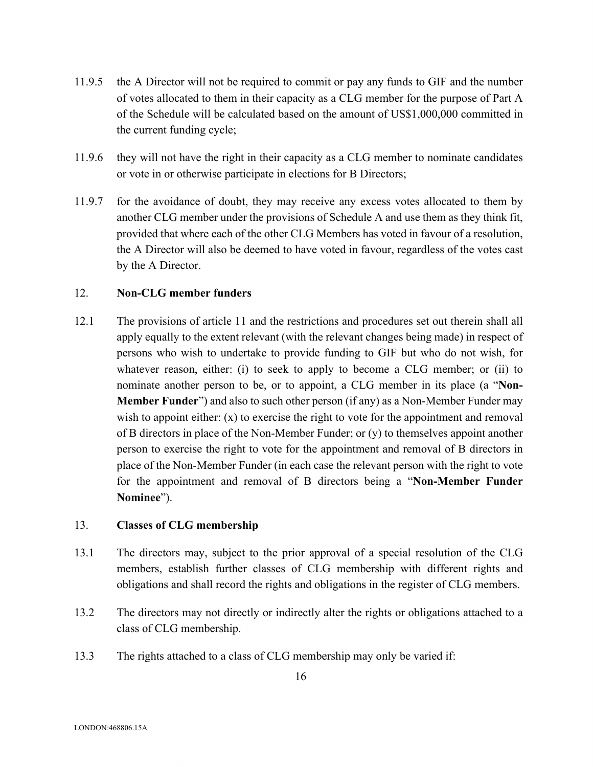- 11.9.5 the A Director will not be required to commit or pay any funds to GIF and the number of votes allocated to them in their capacity as a CLG member for the purpose of Part A of the Schedule will be calculated based on the amount of US\$1,000,000 committed in the current funding cycle;
- 11.9.6 they will not have the right in their capacity as a CLG member to nominate candidates or vote in or otherwise participate in elections for B Directors;
- 11.9.7 for the avoidance of doubt, they may receive any excess votes allocated to them by another CLG member under the provisions of Schedule A and use them as they think fit, provided that where each of the other CLG Members has voted in favour of a resolution, the A Director will also be deemed to have voted in favour, regardless of the votes cast by the A Director.

## 12. **Non-CLG member funders**

12.1 The provisions of article 11 and the restrictions and procedures set out therein shall all apply equally to the extent relevant (with the relevant changes being made) in respect of persons who wish to undertake to provide funding to GIF but who do not wish, for whatever reason, either: (i) to seek to apply to become a CLG member; or (ii) to nominate another person to be, or to appoint, a CLG member in its place (a "**Non-Member Funder**") and also to such other person (if any) as a Non-Member Funder may wish to appoint either:  $(x)$  to exercise the right to vote for the appointment and removal of B directors in place of the Non-Member Funder; or (y) to themselves appoint another person to exercise the right to vote for the appointment and removal of B directors in place of the Non-Member Funder (in each case the relevant person with the right to vote for the appointment and removal of B directors being a "**Non-Member Funder Nominee**").

## 13. **Classes of CLG membership**

- 13.1 The directors may, subject to the prior approval of a special resolution of the CLG members, establish further classes of CLG membership with different rights and obligations and shall record the rights and obligations in the register of CLG members.
- 13.2 The directors may not directly or indirectly alter the rights or obligations attached to a class of CLG membership.
- 13.3 The rights attached to a class of CLG membership may only be varied if: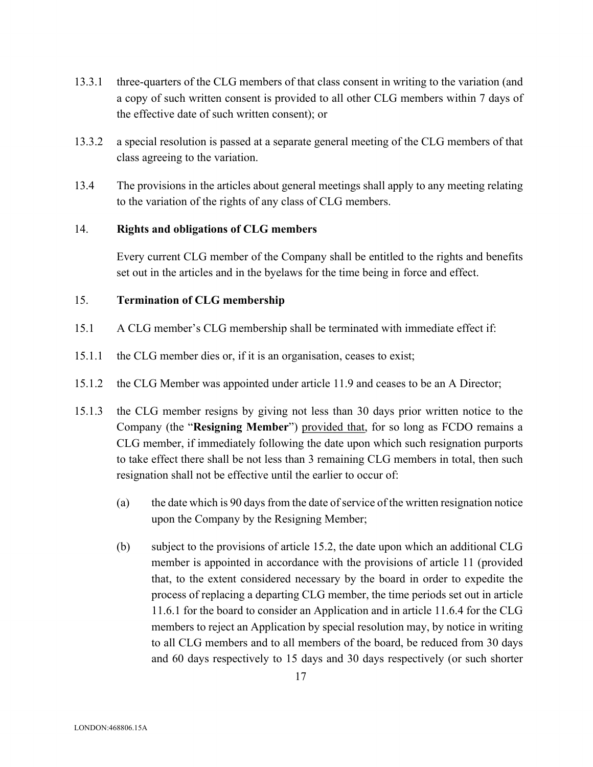- 13.3.1 three-quarters of the CLG members of that class consent in writing to the variation (and a copy of such written consent is provided to all other CLG members within 7 days of the effective date of such written consent); or
- 13.3.2 a special resolution is passed at a separate general meeting of the CLG members of that class agreeing to the variation.
- 13.4 The provisions in the articles about general meetings shall apply to any meeting relating to the variation of the rights of any class of CLG members.

## 14. **Rights and obligations of CLG members**

Every current CLG member of the Company shall be entitled to the rights and benefits set out in the articles and in the byelaws for the time being in force and effect.

## 15. **Termination of CLG membership**

- 15.1 A CLG member's CLG membership shall be terminated with immediate effect if:
- 15.1.1 the CLG member dies or, if it is an organisation, ceases to exist;
- 15.1.2 the CLG Member was appointed under article 11.9 and ceases to be an A Director;
- 15.1.3 the CLG member resigns by giving not less than 30 days prior written notice to the Company (the "**Resigning Member**") provided that, for so long as FCDO remains a CLG member, if immediately following the date upon which such resignation purports to take effect there shall be not less than 3 remaining CLG members in total, then such resignation shall not be effective until the earlier to occur of:
	- (a) the date which is 90 days from the date of service of the written resignation notice upon the Company by the Resigning Member;
	- (b) subject to the provisions of article 15.2, the date upon which an additional CLG member is appointed in accordance with the provisions of article 11 (provided that, to the extent considered necessary by the board in order to expedite the process of replacing a departing CLG member, the time periods set out in article 11.6.1 for the board to consider an Application and in article 11.6.4 for the CLG members to reject an Application by special resolution may, by notice in writing to all CLG members and to all members of the board, be reduced from 30 days and 60 days respectively to 15 days and 30 days respectively (or such shorter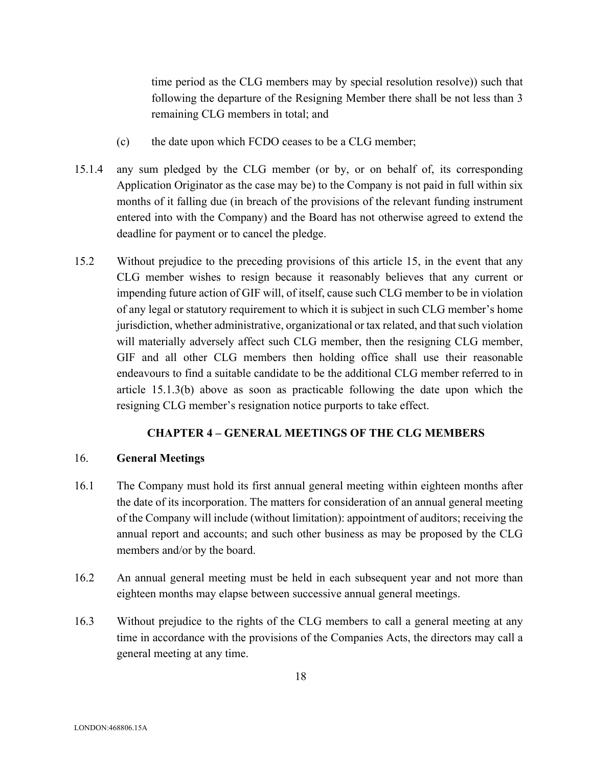time period as the CLG members may by special resolution resolve)) such that following the departure of the Resigning Member there shall be not less than 3 remaining CLG members in total; and

- (c) the date upon which FCDO ceases to be a CLG member;
- 15.1.4 any sum pledged by the CLG member (or by, or on behalf of, its corresponding Application Originator as the case may be) to the Company is not paid in full within six months of it falling due (in breach of the provisions of the relevant funding instrument entered into with the Company) and the Board has not otherwise agreed to extend the deadline for payment or to cancel the pledge.
- 15.2 Without prejudice to the preceding provisions of this article 15, in the event that any CLG member wishes to resign because it reasonably believes that any current or impending future action of GIF will, of itself, cause such CLG member to be in violation of any legal or statutory requirement to which it is subject in such CLG member's home jurisdiction, whether administrative, organizational or tax related, and that such violation will materially adversely affect such CLG member, then the resigning CLG member, GIF and all other CLG members then holding office shall use their reasonable endeavours to find a suitable candidate to be the additional CLG member referred to in article 15.1.3(b) above as soon as practicable following the date upon which the resigning CLG member's resignation notice purports to take effect.

## **CHAPTER 4 – GENERAL MEETINGS OF THE CLG MEMBERS**

## 16. **General Meetings**

- 16.1 The Company must hold its first annual general meeting within eighteen months after the date of its incorporation. The matters for consideration of an annual general meeting of the Company will include (without limitation): appointment of auditors; receiving the annual report and accounts; and such other business as may be proposed by the CLG members and/or by the board.
- 16.2 An annual general meeting must be held in each subsequent year and not more than eighteen months may elapse between successive annual general meetings.
- 16.3 Without prejudice to the rights of the CLG members to call a general meeting at any time in accordance with the provisions of the Companies Acts, the directors may call a general meeting at any time.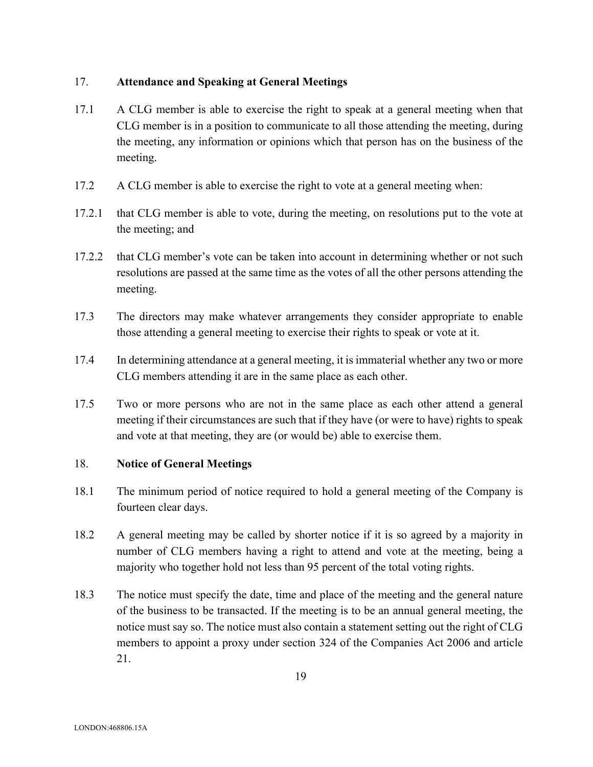## 17. **Attendance and Speaking at General Meetings**

- 17.1 A CLG member is able to exercise the right to speak at a general meeting when that CLG member is in a position to communicate to all those attending the meeting, during the meeting, any information or opinions which that person has on the business of the meeting.
- 17.2 A CLG member is able to exercise the right to vote at a general meeting when:
- 17.2.1 that CLG member is able to vote, during the meeting, on resolutions put to the vote at the meeting; and
- 17.2.2 that CLG member's vote can be taken into account in determining whether or not such resolutions are passed at the same time as the votes of all the other persons attending the meeting.
- 17.3 The directors may make whatever arrangements they consider appropriate to enable those attending a general meeting to exercise their rights to speak or vote at it.
- 17.4 In determining attendance at a general meeting, it is immaterial whether any two or more CLG members attending it are in the same place as each other.
- 17.5 Two or more persons who are not in the same place as each other attend a general meeting if their circumstances are such that if they have (or were to have) rights to speak and vote at that meeting, they are (or would be) able to exercise them.

## 18. **Notice of General Meetings**

- 18.1 The minimum period of notice required to hold a general meeting of the Company is fourteen clear days.
- 18.2 A general meeting may be called by shorter notice if it is so agreed by a majority in number of CLG members having a right to attend and vote at the meeting, being a majority who together hold not less than 95 percent of the total voting rights.
- 18.3 The notice must specify the date, time and place of the meeting and the general nature of the business to be transacted. If the meeting is to be an annual general meeting, the notice must say so. The notice must also contain a statement setting out the right of CLG members to appoint a proxy under section 324 of the Companies Act 2006 and article 21.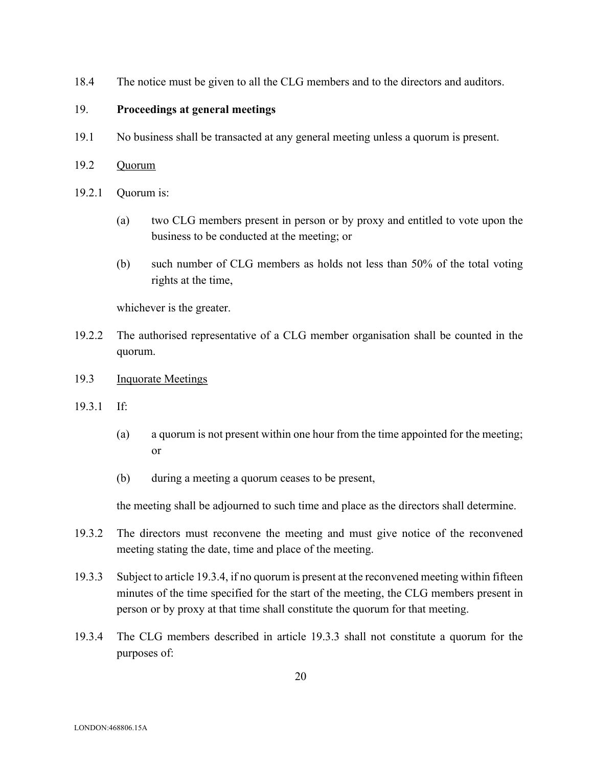18.4 The notice must be given to all the CLG members and to the directors and auditors.

### 19. **Proceedings at general meetings**

- 19.1 No business shall be transacted at any general meeting unless a quorum is present.
- 19.2 Quorum
- 19.2.1 Quorum is:
	- (a) two CLG members present in person or by proxy and entitled to vote upon the business to be conducted at the meeting; or
	- (b) such number of CLG members as holds not less than 50% of the total voting rights at the time,

whichever is the greater.

- 19.2.2 The authorised representative of a CLG member organisation shall be counted in the quorum.
- 19.3 Inquorate Meetings
- 19.3.1 If:
	- (a) a quorum is not present within one hour from the time appointed for the meeting; or
	- (b) during a meeting a quorum ceases to be present,

the meeting shall be adjourned to such time and place as the directors shall determine.

- 19.3.2 The directors must reconvene the meeting and must give notice of the reconvened meeting stating the date, time and place of the meeting.
- 19.3.3 Subject to article 19.3.4, if no quorum is present at the reconvened meeting within fifteen minutes of the time specified for the start of the meeting, the CLG members present in person or by proxy at that time shall constitute the quorum for that meeting.
- 19.3.4 The CLG members described in article 19.3.3 shall not constitute a quorum for the purposes of: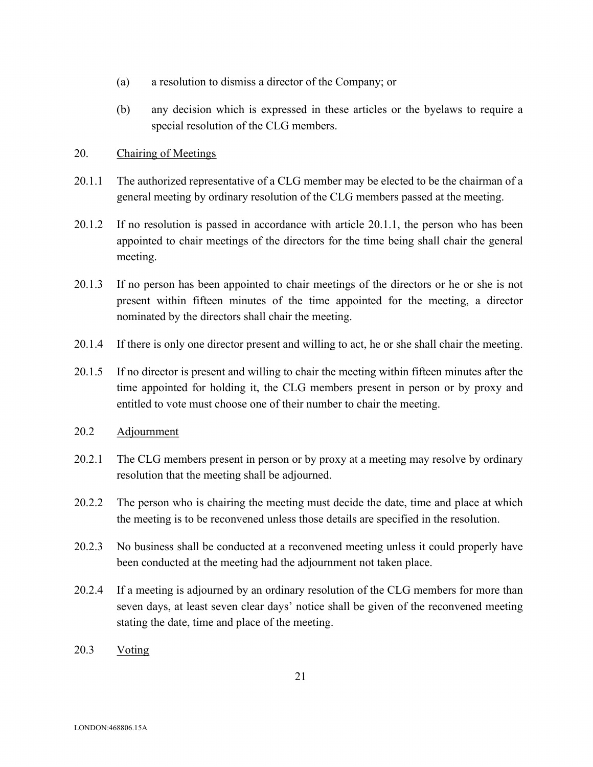- (a) a resolution to dismiss a director of the Company; or
- (b) any decision which is expressed in these articles or the byelaws to require a special resolution of the CLG members.

## 20. Chairing of Meetings

- 20.1.1 The authorized representative of a CLG member may be elected to be the chairman of a general meeting by ordinary resolution of the CLG members passed at the meeting.
- 20.1.2 If no resolution is passed in accordance with article 20.1.1, the person who has been appointed to chair meetings of the directors for the time being shall chair the general meeting.
- 20.1.3 If no person has been appointed to chair meetings of the directors or he or she is not present within fifteen minutes of the time appointed for the meeting, a director nominated by the directors shall chair the meeting.
- 20.1.4 If there is only one director present and willing to act, he or she shall chair the meeting.
- 20.1.5 If no director is present and willing to chair the meeting within fifteen minutes after the time appointed for holding it, the CLG members present in person or by proxy and entitled to vote must choose one of their number to chair the meeting.
- 20.2 Adjournment
- 20.2.1 The CLG members present in person or by proxy at a meeting may resolve by ordinary resolution that the meeting shall be adjourned.
- 20.2.2 The person who is chairing the meeting must decide the date, time and place at which the meeting is to be reconvened unless those details are specified in the resolution.
- 20.2.3 No business shall be conducted at a reconvened meeting unless it could properly have been conducted at the meeting had the adjournment not taken place.
- 20.2.4 If a meeting is adjourned by an ordinary resolution of the CLG members for more than seven days, at least seven clear days' notice shall be given of the reconvened meeting stating the date, time and place of the meeting.
- 20.3 Voting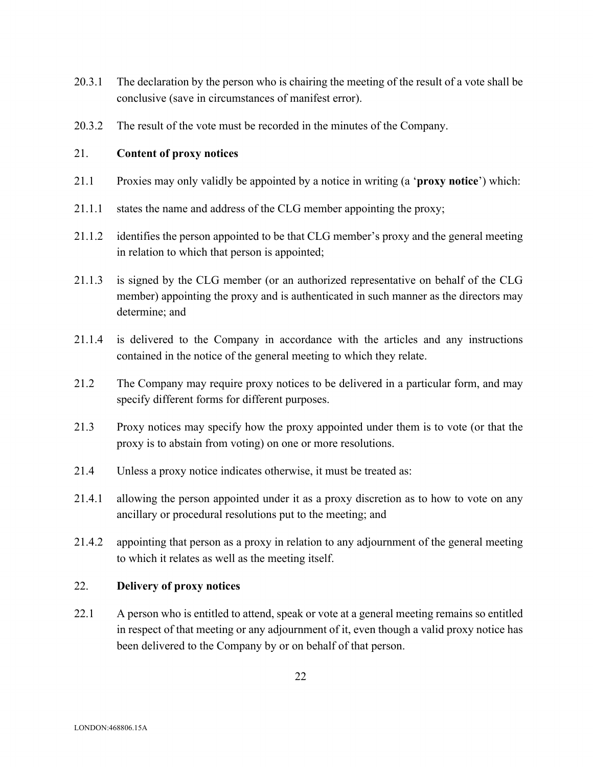- 20.3.1 The declaration by the person who is chairing the meeting of the result of a vote shall be conclusive (save in circumstances of manifest error).
- 20.3.2 The result of the vote must be recorded in the minutes of the Company.

## 21. **Content of proxy notices**

- 21.1 Proxies may only validly be appointed by a notice in writing (a '**proxy notice**') which:
- 21.1.1 states the name and address of the CLG member appointing the proxy;
- 21.1.2 identifies the person appointed to be that CLG member's proxy and the general meeting in relation to which that person is appointed;
- 21.1.3 is signed by the CLG member (or an authorized representative on behalf of the CLG member) appointing the proxy and is authenticated in such manner as the directors may determine; and
- 21.1.4 is delivered to the Company in accordance with the articles and any instructions contained in the notice of the general meeting to which they relate.
- 21.2 The Company may require proxy notices to be delivered in a particular form, and may specify different forms for different purposes.
- 21.3 Proxy notices may specify how the proxy appointed under them is to vote (or that the proxy is to abstain from voting) on one or more resolutions.
- 21.4 Unless a proxy notice indicates otherwise, it must be treated as:
- 21.4.1 allowing the person appointed under it as a proxy discretion as to how to vote on any ancillary or procedural resolutions put to the meeting; and
- 21.4.2 appointing that person as a proxy in relation to any adjournment of the general meeting to which it relates as well as the meeting itself.

## 22. **Delivery of proxy notices**

22.1 A person who is entitled to attend, speak or vote at a general meeting remains so entitled in respect of that meeting or any adjournment of it, even though a valid proxy notice has been delivered to the Company by or on behalf of that person.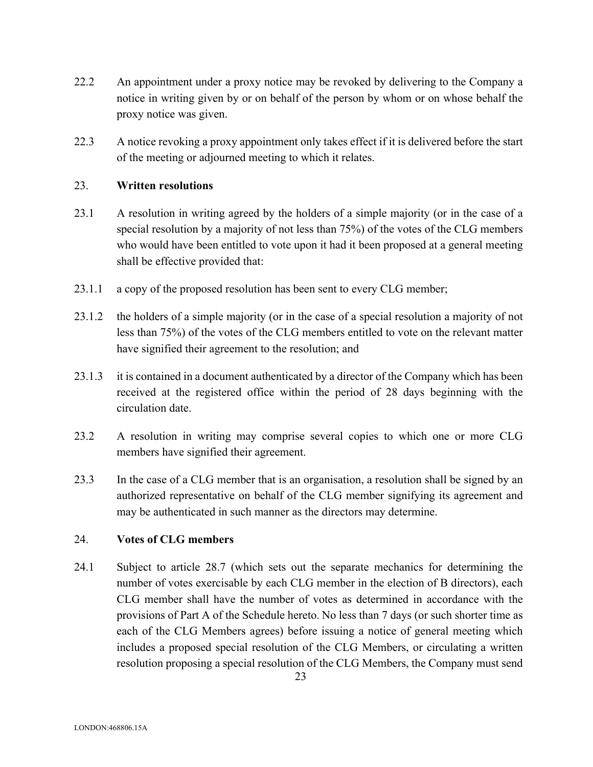- 22.2 An appointment under a proxy notice may be revoked by delivering to the Company a notice in writing given by or on behalf of the person by whom or on whose behalf the proxy notice was given.
- 22.3 A notice revoking a proxy appointment only takes effect if it is delivered before the start of the meeting or adjourned meeting to which it relates.

## 23. **Written resolutions**

- 23.1 A resolution in writing agreed by the holders of a simple majority (or in the case of a special resolution by a majority of not less than 75%) of the votes of the CLG members who would have been entitled to vote upon it had it been proposed at a general meeting shall be effective provided that:
- 23.1.1 a copy of the proposed resolution has been sent to every CLG member;
- 23.1.2 the holders of a simple majority (or in the case of a special resolution a majority of not less than 75%) of the votes of the CLG members entitled to vote on the relevant matter have signified their agreement to the resolution; and
- 23.1.3 it is contained in a document authenticated by a director of the Company which has been received at the registered office within the period of 28 days beginning with the circulation date.
- 23.2 A resolution in writing may comprise several copies to which one or more CLG members have signified their agreement.
- 23.3 In the case of a CLG member that is an organisation, a resolution shall be signed by an authorized representative on behalf of the CLG member signifying its agreement and may be authenticated in such manner as the directors may determine.

### 24. **Votes of CLG members**

24.1 Subject to article 28.7 (which sets out the separate mechanics for determining the number of votes exercisable by each CLG member in the election of B directors), each CLG member shall have the number of votes as determined in accordance with the provisions of Part A of the Schedule hereto. No less than 7 days (or such shorter time as each of the CLG Members agrees) before issuing a notice of general meeting which includes a proposed special resolution of the CLG Members, or circulating a written resolution proposing a special resolution of the CLG Members, the Company must send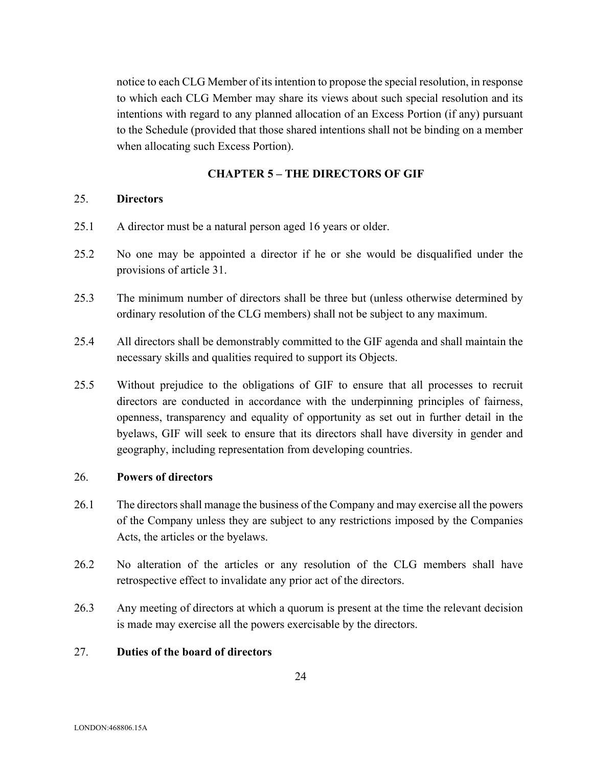notice to each CLG Member of its intention to propose the special resolution, in response to which each CLG Member may share its views about such special resolution and its intentions with regard to any planned allocation of an Excess Portion (if any) pursuant to the Schedule (provided that those shared intentions shall not be binding on a member when allocating such Excess Portion).

## **CHAPTER 5 – THE DIRECTORS OF GIF**

#### 25. **Directors**

- 25.1 A director must be a natural person aged 16 years or older.
- 25.2 No one may be appointed a director if he or she would be disqualified under the provisions of article 31.
- 25.3 The minimum number of directors shall be three but (unless otherwise determined by ordinary resolution of the CLG members) shall not be subject to any maximum.
- 25.4 All directors shall be demonstrably committed to the GIF agenda and shall maintain the necessary skills and qualities required to support its Objects.
- 25.5 Without prejudice to the obligations of GIF to ensure that all processes to recruit directors are conducted in accordance with the underpinning principles of fairness, openness, transparency and equality of opportunity as set out in further detail in the byelaws, GIF will seek to ensure that its directors shall have diversity in gender and geography, including representation from developing countries.

## 26. **Powers of directors**

- 26.1 The directors shall manage the business of the Company and may exercise all the powers of the Company unless they are subject to any restrictions imposed by the Companies Acts, the articles or the byelaws.
- 26.2 No alteration of the articles or any resolution of the CLG members shall have retrospective effect to invalidate any prior act of the directors.
- 26.3 Any meeting of directors at which a quorum is present at the time the relevant decision is made may exercise all the powers exercisable by the directors.

# 27. **Duties of the board of directors**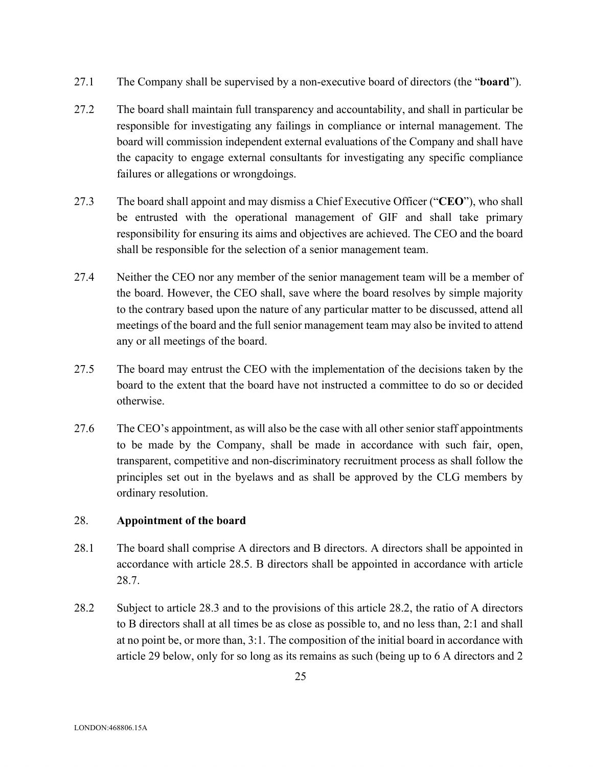- 27.1 The Company shall be supervised by a non-executive board of directors (the "**board**").
- 27.2 The board shall maintain full transparency and accountability, and shall in particular be responsible for investigating any failings in compliance or internal management. The board will commission independent external evaluations of the Company and shall have the capacity to engage external consultants for investigating any specific compliance failures or allegations or wrongdoings.
- 27.3 The board shall appoint and may dismiss a Chief Executive Officer ("**CEO**"), who shall be entrusted with the operational management of GIF and shall take primary responsibility for ensuring its aims and objectives are achieved. The CEO and the board shall be responsible for the selection of a senior management team.
- 27.4 Neither the CEO nor any member of the senior management team will be a member of the board. However, the CEO shall, save where the board resolves by simple majority to the contrary based upon the nature of any particular matter to be discussed, attend all meetings of the board and the full senior management team may also be invited to attend any or all meetings of the board.
- 27.5 The board may entrust the CEO with the implementation of the decisions taken by the board to the extent that the board have not instructed a committee to do so or decided otherwise.
- 27.6 The CEO's appointment, as will also be the case with all other senior staff appointments to be made by the Company, shall be made in accordance with such fair, open, transparent, competitive and non-discriminatory recruitment process as shall follow the principles set out in the byelaws and as shall be approved by the CLG members by ordinary resolution.

## 28. **Appointment of the board**

- 28.1 The board shall comprise A directors and B directors. A directors shall be appointed in accordance with article 28.5. B directors shall be appointed in accordance with article 28.7.
- 28.2 Subject to article 28.3 and to the provisions of this article 28.2, the ratio of A directors to B directors shall at all times be as close as possible to, and no less than, 2:1 and shall at no point be, or more than, 3:1. The composition of the initial board in accordance with article 29 below, only for so long as its remains as such (being up to 6 A directors and 2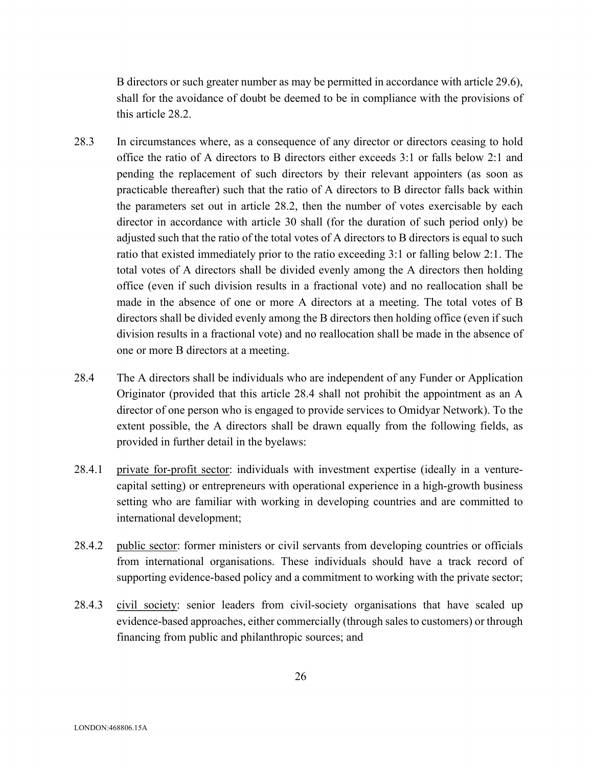B directors or such greater number as may be permitted in accordance with article 29.6), shall for the avoidance of doubt be deemed to be in compliance with the provisions of this article 28.2.

- 28.3 In circumstances where, as a consequence of any director or directors ceasing to hold office the ratio of A directors to B directors either exceeds 3:1 or falls below 2:1 and pending the replacement of such directors by their relevant appointers (as soon as practicable thereafter) such that the ratio of A directors to B director falls back within the parameters set out in article 28.2, then the number of votes exercisable by each director in accordance with article 30 shall (for the duration of such period only) be adjusted such that the ratio of the total votes of A directors to B directors is equal to such ratio that existed immediately prior to the ratio exceeding 3:1 or falling below 2:1. The total votes of A directors shall be divided evenly among the A directors then holding office (even if such division results in a fractional vote) and no reallocation shall be made in the absence of one or more A directors at a meeting. The total votes of B directors shall be divided evenly among the B directors then holding office (even if such division results in a fractional vote) and no reallocation shall be made in the absence of one or more B directors at a meeting.
- 28.4 The A directors shall be individuals who are independent of any Funder or Application Originator (provided that this article 28.4 shall not prohibit the appointment as an A director of one person who is engaged to provide services to Omidyar Network). To the extent possible, the A directors shall be drawn equally from the following fields, as provided in further detail in the byelaws:
- 28.4.1 private for-profit sector: individuals with investment expertise (ideally in a venturecapital setting) or entrepreneurs with operational experience in a high-growth business setting who are familiar with working in developing countries and are committed to international development;
- 28.4.2 public sector: former ministers or civil servants from developing countries or officials from international organisations. These individuals should have a track record of supporting evidence-based policy and a commitment to working with the private sector;
- 28.4.3 civil society: senior leaders from civil-society organisations that have scaled up evidence-based approaches, either commercially (through sales to customers) or through financing from public and philanthropic sources; and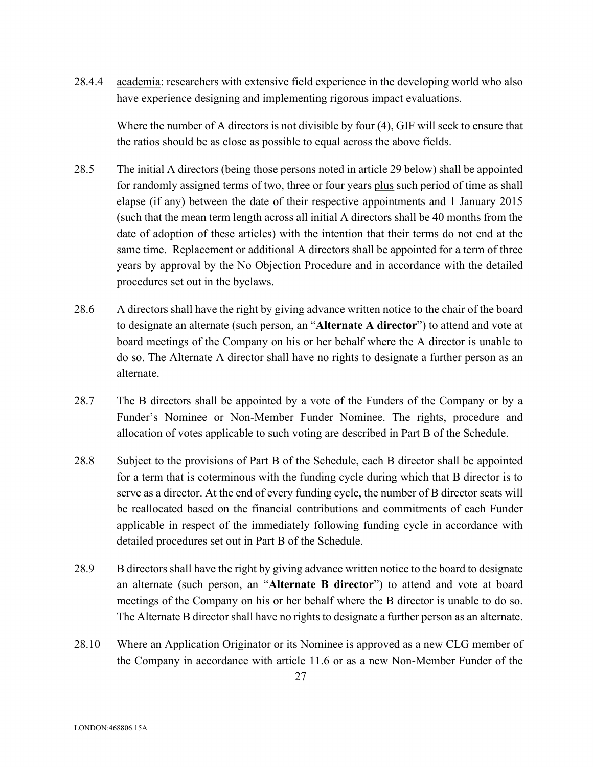28.4.4 academia: researchers with extensive field experience in the developing world who also have experience designing and implementing rigorous impact evaluations.

Where the number of A directors is not divisible by four (4), GIF will seek to ensure that the ratios should be as close as possible to equal across the above fields.

- 28.5 The initial A directors (being those persons noted in article 29 below) shall be appointed for randomly assigned terms of two, three or four years plus such period of time as shall elapse (if any) between the date of their respective appointments and 1 January 2015 (such that the mean term length across all initial A directors shall be 40 months from the date of adoption of these articles) with the intention that their terms do not end at the same time. Replacement or additional A directors shall be appointed for a term of three years by approval by the No Objection Procedure and in accordance with the detailed procedures set out in the byelaws.
- 28.6 A directors shall have the right by giving advance written notice to the chair of the board to designate an alternate (such person, an "**Alternate A director**") to attend and vote at board meetings of the Company on his or her behalf where the A director is unable to do so. The Alternate A director shall have no rights to designate a further person as an alternate.
- 28.7 The B directors shall be appointed by a vote of the Funders of the Company or by a Funder's Nominee or Non-Member Funder Nominee. The rights, procedure and allocation of votes applicable to such voting are described in Part B of the Schedule.
- 28.8 Subject to the provisions of Part B of the Schedule, each B director shall be appointed for a term that is coterminous with the funding cycle during which that B director is to serve as a director. At the end of every funding cycle, the number of B director seats will be reallocated based on the financial contributions and commitments of each Funder applicable in respect of the immediately following funding cycle in accordance with detailed procedures set out in Part B of the Schedule.
- 28.9 B directors shall have the right by giving advance written notice to the board to designate an alternate (such person, an "**Alternate B director**") to attend and vote at board meetings of the Company on his or her behalf where the B director is unable to do so. The Alternate B director shall have no rights to designate a further person as an alternate.
- 28.10 Where an Application Originator or its Nominee is approved as a new CLG member of the Company in accordance with article 11.6 or as a new Non-Member Funder of the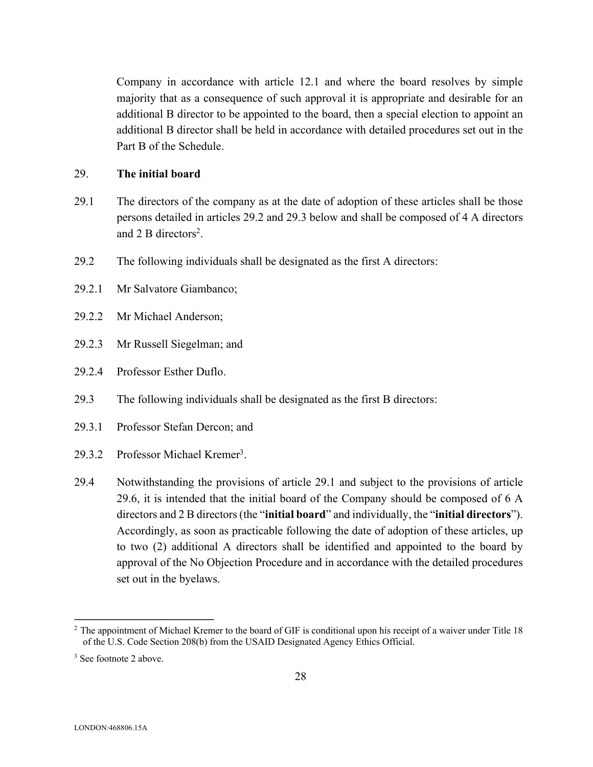Company in accordance with article 12.1 and where the board resolves by simple majority that as a consequence of such approval it is appropriate and desirable for an additional B director to be appointed to the board, then a special election to appoint an additional B director shall be held in accordance with detailed procedures set out in the Part B of the Schedule.

### 29. **The initial board**

- 29.1 The directors of the company as at the date of adoption of these articles shall be those persons detailed in articles 29.2 and 29.3 below and shall be composed of 4 A directors and 2 B directors<sup>2</sup>.
- 29.2 The following individuals shall be designated as the first A directors:
- 29.2.1 Mr Salvatore Giambanco;
- 29.2.2 Mr Michael Anderson;
- 29.2.3 Mr Russell Siegelman; and
- 29.2.4 Professor Esther Duflo.
- 29.3 The following individuals shall be designated as the first B directors:
- 29.3.1 Professor Stefan Dercon; and
- 29.3.2 Professor Michael Kremer3.
- 29.4 Notwithstanding the provisions of article 29.1 and subject to the provisions of article 29.6, it is intended that the initial board of the Company should be composed of 6 A directors and 2 B directors (the "**initial board**" and individually, the "**initial directors**"). Accordingly, as soon as practicable following the date of adoption of these articles, up to two (2) additional A directors shall be identified and appointed to the board by approval of the No Objection Procedure and in accordance with the detailed procedures set out in the byelaws.

<sup>&</sup>lt;sup>2</sup> The appointment of Michael Kremer to the board of GIF is conditional upon his receipt of a waiver under Title 18 of the U.S. Code Section 208(b) from the USAID Designated Agency Ethics Official.

<sup>&</sup>lt;sup>3</sup> See footnote 2 above.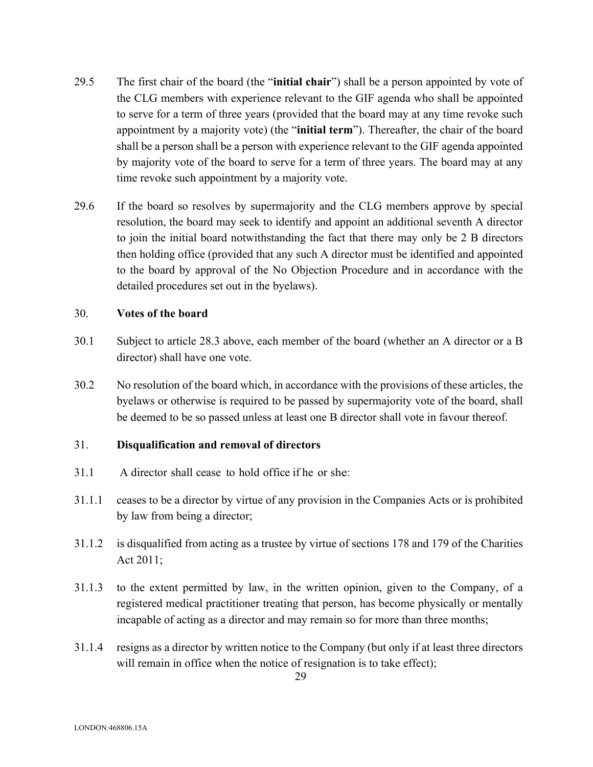- 29.5 The first chair of the board (the "**initial chair**") shall be a person appointed by vote of the CLG members with experience relevant to the GIF agenda who shall be appointed to serve for a term of three years (provided that the board may at any time revoke such appointment by a majority vote) (the "**initial term**"). Thereafter, the chair of the board shall be a person shall be a person with experience relevant to the GIF agenda appointed by majority vote of the board to serve for a term of three years. The board may at any time revoke such appointment by a majority vote.
- 29.6 If the board so resolves by supermajority and the CLG members approve by special resolution, the board may seek to identify and appoint an additional seventh A director to join the initial board notwithstanding the fact that there may only be 2 B directors then holding office (provided that any such A director must be identified and appointed to the board by approval of the No Objection Procedure and in accordance with the detailed procedures set out in the byelaws).

#### 30. **Votes of the board**

- 30.1 Subject to article 28.3 above, each member of the board (whether an A director or a B director) shall have one vote.
- 30.2 No resolution of the board which, in accordance with the provisions of these articles, the byelaws or otherwise is required to be passed by supermajority vote of the board, shall be deemed to be so passed unless at least one B director shall vote in favour thereof.

## 31. **Disqualification and removal of directors**

- 31.1 A director shall cease to hold office if he or she:
- 31.1.1 ceases to be a director by virtue of any provision in the Companies Acts or is prohibited by law from being a director;
- 31.1.2 is disqualified from acting as a trustee by virtue of sections 178 and 179 of the Charities Act 2011;
- 31.1.3 to the extent permitted by law, in the written opinion, given to the Company, of a registered medical practitioner treating that person, has become physically or mentally incapable of acting as a director and may remain so for more than three months;
- 31.1.4 resigns as a director by written notice to the Company (but only if at least three directors will remain in office when the notice of resignation is to take effect);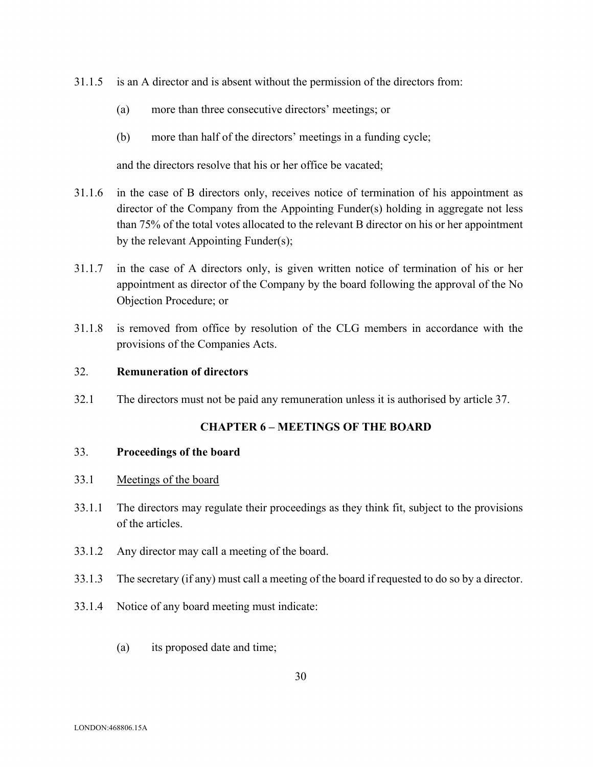- 31.1.5 is an A director and is absent without the permission of the directors from:
	- (a) more than three consecutive directors' meetings; or
	- (b) more than half of the directors' meetings in a funding cycle;

and the directors resolve that his or her office be vacated;

- 31.1.6 in the case of B directors only, receives notice of termination of his appointment as director of the Company from the Appointing Funder(s) holding in aggregate not less than 75% of the total votes allocated to the relevant B director on his or her appointment by the relevant Appointing Funder(s);
- 31.1.7 in the case of A directors only, is given written notice of termination of his or her appointment as director of the Company by the board following the approval of the No Objection Procedure; or
- 31.1.8 is removed from office by resolution of the CLG members in accordance with the provisions of the Companies Acts.

#### 32. **Remuneration of directors**

32.1 The directors must not be paid any remuneration unless it is authorised by article 37.

### **CHAPTER 6 – MEETINGS OF THE BOARD**

#### 33. **Proceedings of the board**

- 33.1 Meetings of the board
- 33.1.1 The directors may regulate their proceedings as they think fit, subject to the provisions of the articles.
- 33.1.2 Any director may call a meeting of the board.
- 33.1.3 The secretary (if any) must call a meeting of the board if requested to do so by a director.
- 33.1.4 Notice of any board meeting must indicate:
	- (a) its proposed date and time;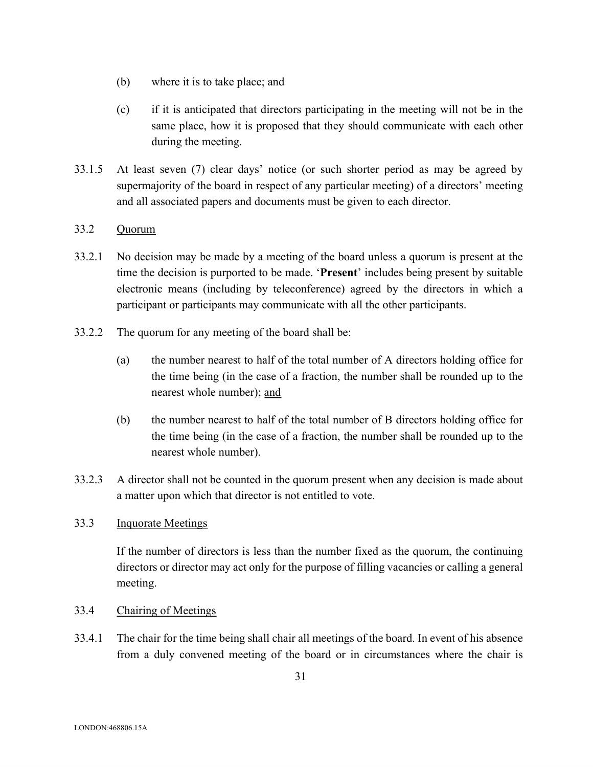- (b) where it is to take place; and
- (c) if it is anticipated that directors participating in the meeting will not be in the same place, how it is proposed that they should communicate with each other during the meeting.
- 33.1.5 At least seven (7) clear days' notice (or such shorter period as may be agreed by supermajority of the board in respect of any particular meeting) of a directors' meeting and all associated papers and documents must be given to each director.

## 33.2 Quorum

- 33.2.1 No decision may be made by a meeting of the board unless a quorum is present at the time the decision is purported to be made. '**Present**' includes being present by suitable electronic means (including by teleconference) agreed by the directors in which a participant or participants may communicate with all the other participants.
- 33.2.2 The quorum for any meeting of the board shall be:
	- (a) the number nearest to half of the total number of A directors holding office for the time being (in the case of a fraction, the number shall be rounded up to the nearest whole number); and
	- (b) the number nearest to half of the total number of B directors holding office for the time being (in the case of a fraction, the number shall be rounded up to the nearest whole number).
- 33.2.3 A director shall not be counted in the quorum present when any decision is made about a matter upon which that director is not entitled to vote.

## 33.3 Inquorate Meetings

If the number of directors is less than the number fixed as the quorum, the continuing directors or director may act only for the purpose of filling vacancies or calling a general meeting.

## 33.4 Chairing of Meetings

33.4.1 The chair for the time being shall chair all meetings of the board. In event of his absence from a duly convened meeting of the board or in circumstances where the chair is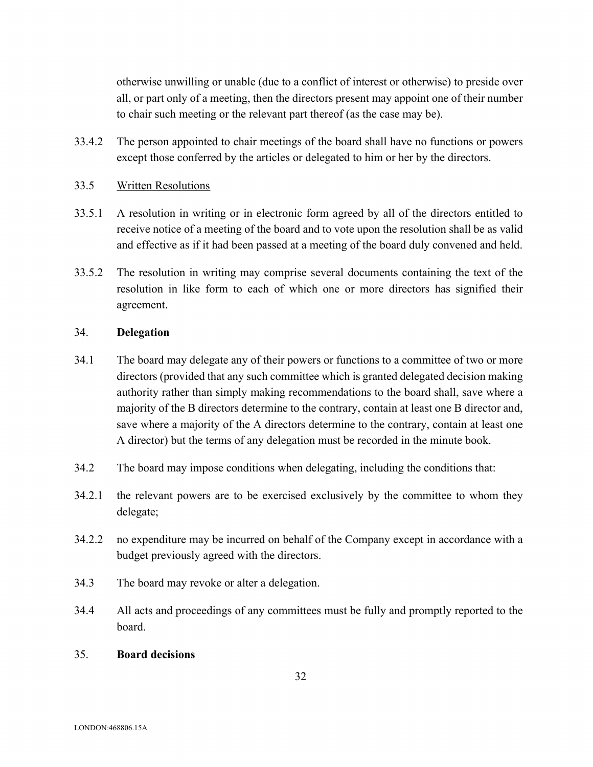otherwise unwilling or unable (due to a conflict of interest or otherwise) to preside over all, or part only of a meeting, then the directors present may appoint one of their number to chair such meeting or the relevant part thereof (as the case may be).

33.4.2 The person appointed to chair meetings of the board shall have no functions or powers except those conferred by the articles or delegated to him or her by the directors.

## 33.5 Written Resolutions

- 33.5.1 A resolution in writing or in electronic form agreed by all of the directors entitled to receive notice of a meeting of the board and to vote upon the resolution shall be as valid and effective as if it had been passed at a meeting of the board duly convened and held.
- 33.5.2 The resolution in writing may comprise several documents containing the text of the resolution in like form to each of which one or more directors has signified their agreement.

## 34. **Delegation**

- 34.1 The board may delegate any of their powers or functions to a committee of two or more directors (provided that any such committee which is granted delegated decision making authority rather than simply making recommendations to the board shall, save where a majority of the B directors determine to the contrary, contain at least one B director and, save where a majority of the A directors determine to the contrary, contain at least one A director) but the terms of any delegation must be recorded in the minute book.
- 34.2 The board may impose conditions when delegating, including the conditions that:
- 34.2.1 the relevant powers are to be exercised exclusively by the committee to whom they delegate;
- 34.2.2 no expenditure may be incurred on behalf of the Company except in accordance with a budget previously agreed with the directors.
- 34.3 The board may revoke or alter a delegation.
- 34.4 All acts and proceedings of any committees must be fully and promptly reported to the board.

#### 35. **Board decisions**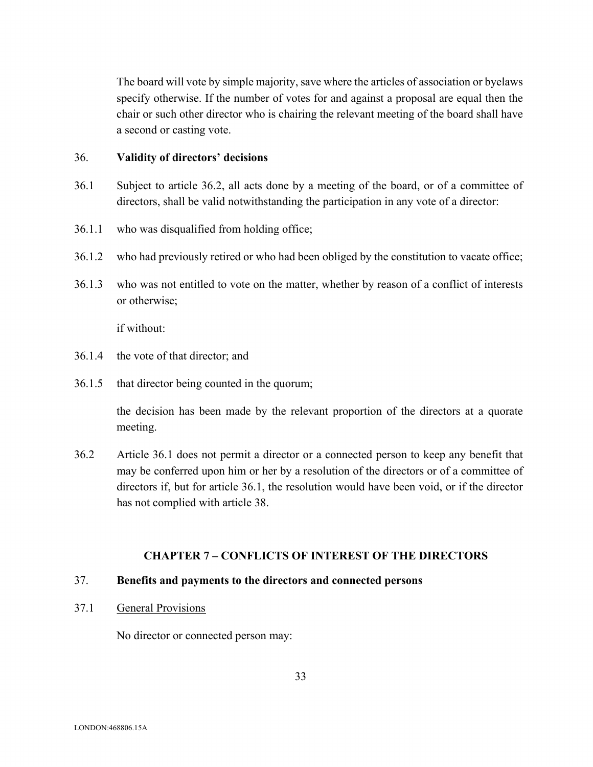The board will vote by simple majority, save where the articles of association or byelaws specify otherwise. If the number of votes for and against a proposal are equal then the chair or such other director who is chairing the relevant meeting of the board shall have a second or casting vote.

## 36. **Validity of directors' decisions**

- 36.1 Subject to article 36.2, all acts done by a meeting of the board, or of a committee of directors, shall be valid notwithstanding the participation in any vote of a director:
- 36.1.1 who was disqualified from holding office;
- 36.1.2 who had previously retired or who had been obliged by the constitution to vacate office;
- 36.1.3 who was not entitled to vote on the matter, whether by reason of a conflict of interests or otherwise;

if without:

- 36.1.4 the vote of that director; and
- 36.1.5 that director being counted in the quorum;

the decision has been made by the relevant proportion of the directors at a quorate meeting.

36.2 Article 36.1 does not permit a director or a connected person to keep any benefit that may be conferred upon him or her by a resolution of the directors or of a committee of directors if, but for article 36.1, the resolution would have been void, or if the director has not complied with article 38.

## **CHAPTER 7 – CONFLICTS OF INTEREST OF THE DIRECTORS**

#### 37. **Benefits and payments to the directors and connected persons**

37.1 General Provisions

No director or connected person may: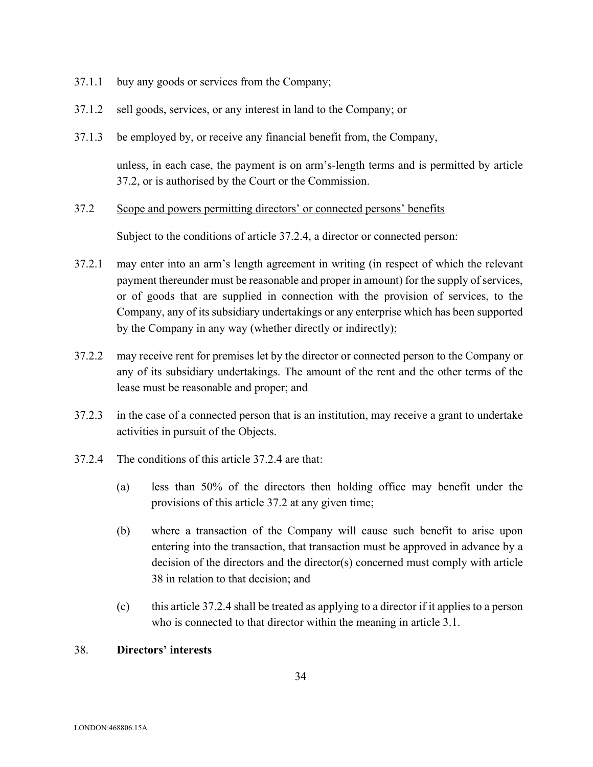- 37.1.1 buy any goods or services from the Company;
- 37.1.2 sell goods, services, or any interest in land to the Company; or
- 37.1.3 be employed by, or receive any financial benefit from, the Company,

unless, in each case, the payment is on arm's-length terms and is permitted by article 37.2, or is authorised by the Court or the Commission.

37.2 Scope and powers permitting directors' or connected persons' benefits

Subject to the conditions of article 37.2.4, a director or connected person:

- 37.2.1 may enter into an arm's length agreement in writing (in respect of which the relevant payment thereunder must be reasonable and proper in amount) for the supply of services, or of goods that are supplied in connection with the provision of services, to the Company, any of its subsidiary undertakings or any enterprise which has been supported by the Company in any way (whether directly or indirectly);
- 37.2.2 may receive rent for premises let by the director or connected person to the Company or any of its subsidiary undertakings. The amount of the rent and the other terms of the lease must be reasonable and proper; and
- 37.2.3 in the case of a connected person that is an institution, may receive a grant to undertake activities in pursuit of the Objects.
- 37.2.4 The conditions of this article 37.2.4 are that:
	- (a) less than 50% of the directors then holding office may benefit under the provisions of this article 37.2 at any given time;
	- (b) where a transaction of the Company will cause such benefit to arise upon entering into the transaction, that transaction must be approved in advance by a decision of the directors and the director(s) concerned must comply with article 38 in relation to that decision; and
	- (c) this article 37.2.4 shall be treated as applying to a director if it applies to a person who is connected to that director within the meaning in article 3.1.

## 38. **Directors' interests**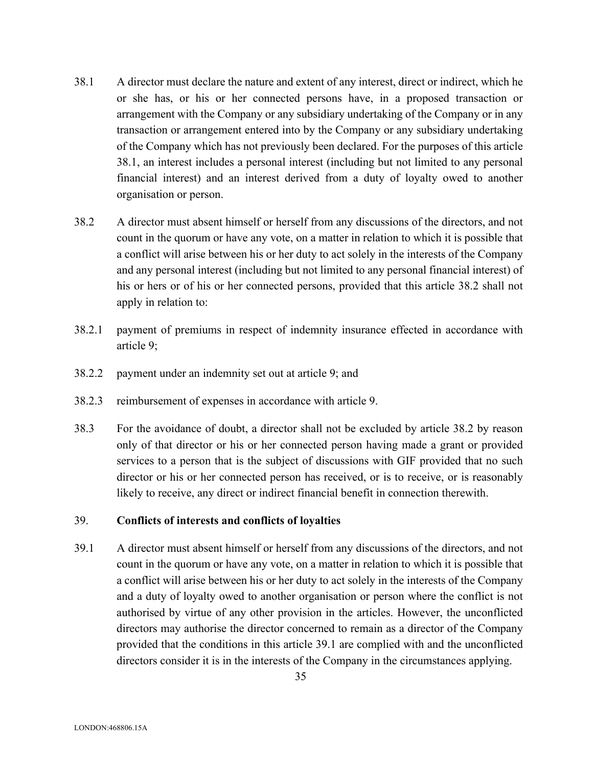- 38.1 A director must declare the nature and extent of any interest, direct or indirect, which he or she has, or his or her connected persons have, in a proposed transaction or arrangement with the Company or any subsidiary undertaking of the Company or in any transaction or arrangement entered into by the Company or any subsidiary undertaking of the Company which has not previously been declared. For the purposes of this article 38.1, an interest includes a personal interest (including but not limited to any personal financial interest) and an interest derived from a duty of loyalty owed to another organisation or person.
- 38.2 A director must absent himself or herself from any discussions of the directors, and not count in the quorum or have any vote, on a matter in relation to which it is possible that a conflict will arise between his or her duty to act solely in the interests of the Company and any personal interest (including but not limited to any personal financial interest) of his or hers or of his or her connected persons, provided that this article 38.2 shall not apply in relation to:
- 38.2.1 payment of premiums in respect of indemnity insurance effected in accordance with article 9;
- 38.2.2 payment under an indemnity set out at article 9; and
- 38.2.3 reimbursement of expenses in accordance with article 9.
- 38.3 For the avoidance of doubt, a director shall not be excluded by article 38.2 by reason only of that director or his or her connected person having made a grant or provided services to a person that is the subject of discussions with GIF provided that no such director or his or her connected person has received, or is to receive, or is reasonably likely to receive, any direct or indirect financial benefit in connection therewith.

#### 39. **Conflicts of interests and conflicts of loyalties**

39.1 A director must absent himself or herself from any discussions of the directors, and not count in the quorum or have any vote, on a matter in relation to which it is possible that a conflict will arise between his or her duty to act solely in the interests of the Company and a duty of loyalty owed to another organisation or person where the conflict is not authorised by virtue of any other provision in the articles. However, the unconflicted directors may authorise the director concerned to remain as a director of the Company provided that the conditions in this article 39.1 are complied with and the unconflicted directors consider it is in the interests of the Company in the circumstances applying.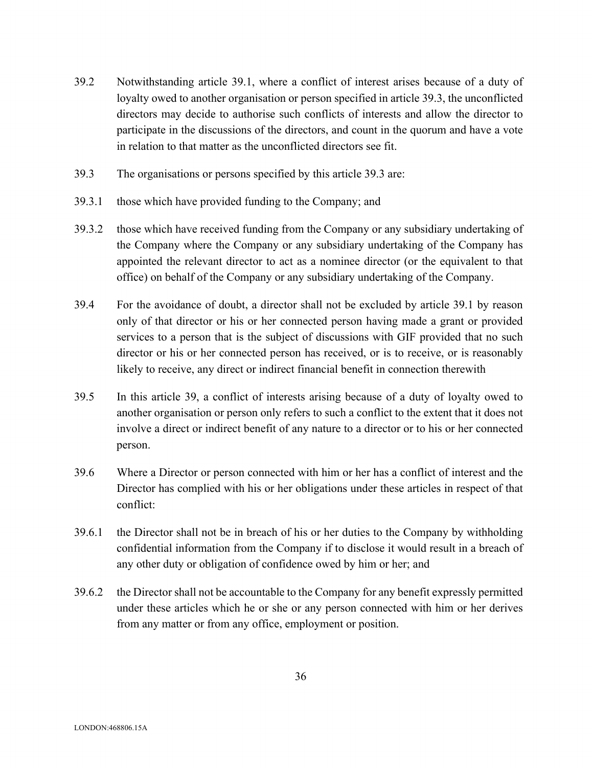- 39.2 Notwithstanding article 39.1, where a conflict of interest arises because of a duty of loyalty owed to another organisation or person specified in article 39.3, the unconflicted directors may decide to authorise such conflicts of interests and allow the director to participate in the discussions of the directors, and count in the quorum and have a vote in relation to that matter as the unconflicted directors see fit.
- 39.3 The organisations or persons specified by this article 39.3 are:
- 39.3.1 those which have provided funding to the Company; and
- 39.3.2 those which have received funding from the Company or any subsidiary undertaking of the Company where the Company or any subsidiary undertaking of the Company has appointed the relevant director to act as a nominee director (or the equivalent to that office) on behalf of the Company or any subsidiary undertaking of the Company.
- 39.4 For the avoidance of doubt, a director shall not be excluded by article 39.1 by reason only of that director or his or her connected person having made a grant or provided services to a person that is the subject of discussions with GIF provided that no such director or his or her connected person has received, or is to receive, or is reasonably likely to receive, any direct or indirect financial benefit in connection therewith
- 39.5 In this article 39, a conflict of interests arising because of a duty of loyalty owed to another organisation or person only refers to such a conflict to the extent that it does not involve a direct or indirect benefit of any nature to a director or to his or her connected person.
- 39.6 Where a Director or person connected with him or her has a conflict of interest and the Director has complied with his or her obligations under these articles in respect of that conflict:
- 39.6.1 the Director shall not be in breach of his or her duties to the Company by withholding confidential information from the Company if to disclose it would result in a breach of any other duty or obligation of confidence owed by him or her; and
- 39.6.2 the Director shall not be accountable to the Company for any benefit expressly permitted under these articles which he or she or any person connected with him or her derives from any matter or from any office, employment or position.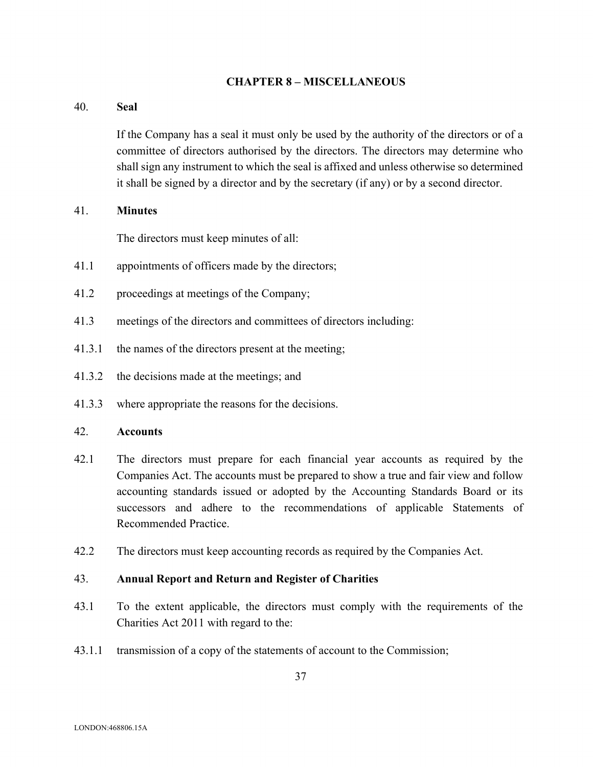#### **CHAPTER 8 – MISCELLANEOUS**

#### 40. **Seal**

If the Company has a seal it must only be used by the authority of the directors or of a committee of directors authorised by the directors. The directors may determine who shall sign any instrument to which the seal is affixed and unless otherwise so determined it shall be signed by a director and by the secretary (if any) or by a second director.

#### 41. **Minutes**

The directors must keep minutes of all:

- 41.1 appointments of officers made by the directors;
- 41.2 proceedings at meetings of the Company;
- 41.3 meetings of the directors and committees of directors including:
- 41.3.1 the names of the directors present at the meeting;
- 41.3.2 the decisions made at the meetings; and
- 41.3.3 where appropriate the reasons for the decisions.

#### 42. **Accounts**

- 42.1 The directors must prepare for each financial year accounts as required by the Companies Act. The accounts must be prepared to show a true and fair view and follow accounting standards issued or adopted by the Accounting Standards Board or its successors and adhere to the recommendations of applicable Statements of Recommended Practice.
- 42.2 The directors must keep accounting records as required by the Companies Act.

#### 43. **Annual Report and Return and Register of Charities**

- 43.1 To the extent applicable, the directors must comply with the requirements of the Charities Act 2011 with regard to the:
- 43.1.1 transmission of a copy of the statements of account to the Commission;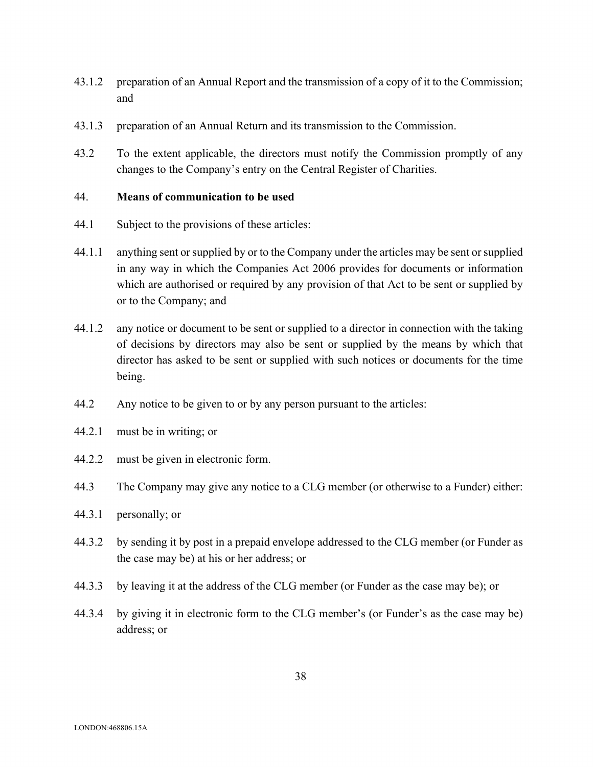- 43.1.2 preparation of an Annual Report and the transmission of a copy of it to the Commission; and
- 43.1.3 preparation of an Annual Return and its transmission to the Commission.
- 43.2 To the extent applicable, the directors must notify the Commission promptly of any changes to the Company's entry on the Central Register of Charities.

## 44. **Means of communication to be used**

- 44.1 Subject to the provisions of these articles:
- 44.1.1 anything sent or supplied by or to the Company under the articles may be sent or supplied in any way in which the Companies Act 2006 provides for documents or information which are authorised or required by any provision of that Act to be sent or supplied by or to the Company; and
- 44.1.2 any notice or document to be sent or supplied to a director in connection with the taking of decisions by directors may also be sent or supplied by the means by which that director has asked to be sent or supplied with such notices or documents for the time being.
- 44.2 Any notice to be given to or by any person pursuant to the articles:
- 44.2.1 must be in writing; or
- 44.2.2 must be given in electronic form.
- 44.3 The Company may give any notice to a CLG member (or otherwise to a Funder) either:
- 44.3.1 personally; or
- 44.3.2 by sending it by post in a prepaid envelope addressed to the CLG member (or Funder as the case may be) at his or her address; or
- 44.3.3 by leaving it at the address of the CLG member (or Funder as the case may be); or
- 44.3.4 by giving it in electronic form to the CLG member's (or Funder's as the case may be) address; or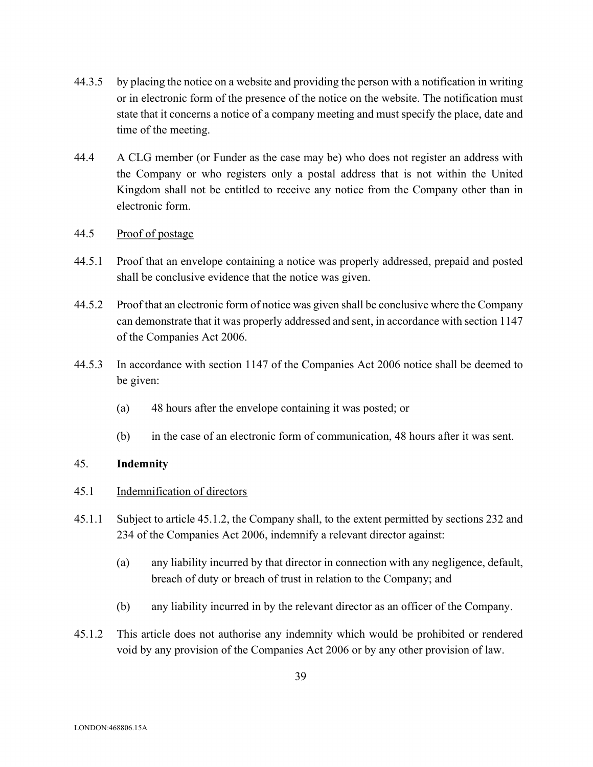- 44.3.5 by placing the notice on a website and providing the person with a notification in writing or in electronic form of the presence of the notice on the website. The notification must state that it concerns a notice of a company meeting and must specify the place, date and time of the meeting.
- 44.4 A CLG member (or Funder as the case may be) who does not register an address with the Company or who registers only a postal address that is not within the United Kingdom shall not be entitled to receive any notice from the Company other than in electronic form.
- 44.5 Proof of postage
- 44.5.1 Proof that an envelope containing a notice was properly addressed, prepaid and posted shall be conclusive evidence that the notice was given.
- 44.5.2 Proof that an electronic form of notice was given shall be conclusive where the Company can demonstrate that it was properly addressed and sent, in accordance with section 1147 of the Companies Act 2006.
- 44.5.3 In accordance with section 1147 of the Companies Act 2006 notice shall be deemed to be given:
	- (a) 48 hours after the envelope containing it was posted; or
	- (b) in the case of an electronic form of communication, 48 hours after it was sent.

## 45. **Indemnity**

#### 45.1 Indemnification of directors

- 45.1.1 Subject to article 45.1.2, the Company shall, to the extent permitted by sections 232 and 234 of the Companies Act 2006, indemnify a relevant director against:
	- (a) any liability incurred by that director in connection with any negligence, default, breach of duty or breach of trust in relation to the Company; and
	- (b) any liability incurred in by the relevant director as an officer of the Company.
- 45.1.2 This article does not authorise any indemnity which would be prohibited or rendered void by any provision of the Companies Act 2006 or by any other provision of law.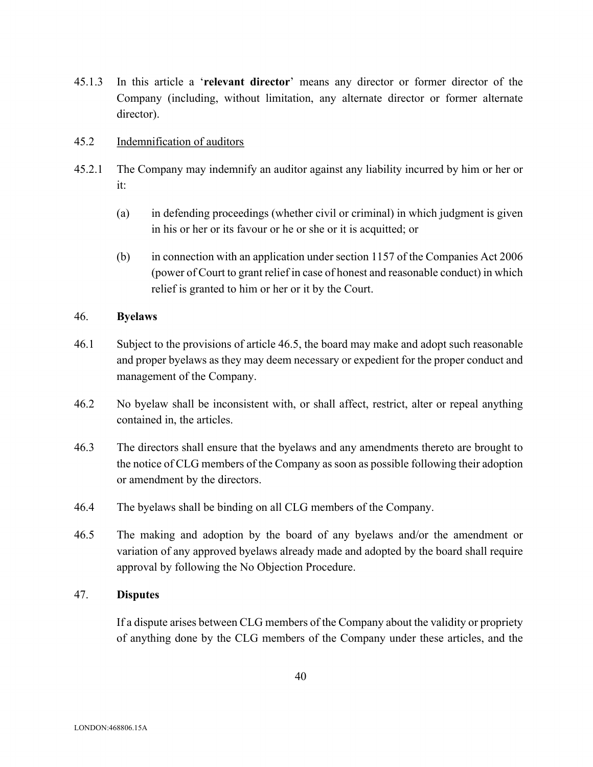45.1.3 In this article a '**relevant director**' means any director or former director of the Company (including, without limitation, any alternate director or former alternate director).

## 45.2 Indemnification of auditors

- 45.2.1 The Company may indemnify an auditor against any liability incurred by him or her or it:
	- (a) in defending proceedings (whether civil or criminal) in which judgment is given in his or her or its favour or he or she or it is acquitted; or
	- (b) in connection with an application under section 1157 of the Companies Act 2006 (power of Court to grant relief in case of honest and reasonable conduct) in which relief is granted to him or her or it by the Court.

#### 46. **Byelaws**

- 46.1 Subject to the provisions of article 46.5, the board may make and adopt such reasonable and proper byelaws as they may deem necessary or expedient for the proper conduct and management of the Company.
- 46.2 No byelaw shall be inconsistent with, or shall affect, restrict, alter or repeal anything contained in, the articles.
- 46.3 The directors shall ensure that the byelaws and any amendments thereto are brought to the notice of CLG members of the Company as soon as possible following their adoption or amendment by the directors.
- 46.4 The byelaws shall be binding on all CLG members of the Company.
- 46.5 The making and adoption by the board of any byelaws and/or the amendment or variation of any approved byelaws already made and adopted by the board shall require approval by following the No Objection Procedure.

## 47. **Disputes**

If a dispute arises between CLG members of the Company about the validity or propriety of anything done by the CLG members of the Company under these articles, and the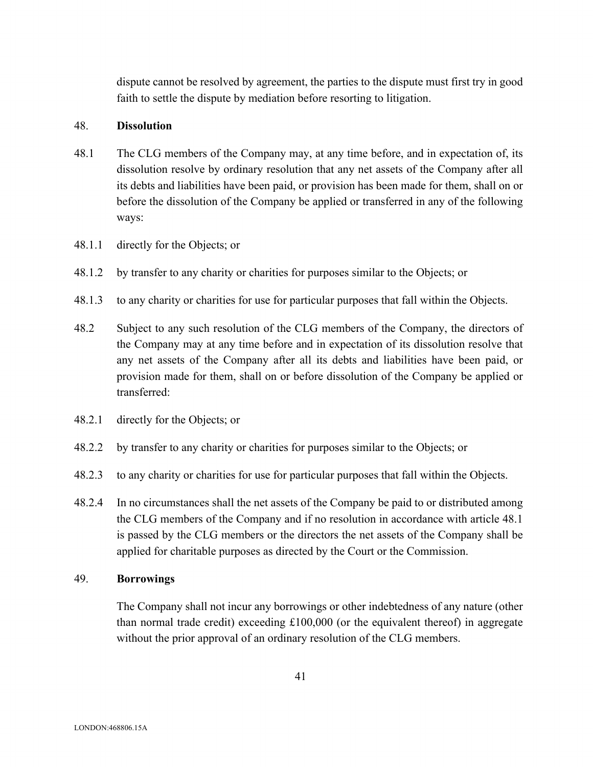dispute cannot be resolved by agreement, the parties to the dispute must first try in good faith to settle the dispute by mediation before resorting to litigation.

## 48. **Dissolution**

- 48.1 The CLG members of the Company may, at any time before, and in expectation of, its dissolution resolve by ordinary resolution that any net assets of the Company after all its debts and liabilities have been paid, or provision has been made for them, shall on or before the dissolution of the Company be applied or transferred in any of the following ways:
- 48.1.1 directly for the Objects; or
- 48.1.2 by transfer to any charity or charities for purposes similar to the Objects; or
- 48.1.3 to any charity or charities for use for particular purposes that fall within the Objects.
- 48.2 Subject to any such resolution of the CLG members of the Company, the directors of the Company may at any time before and in expectation of its dissolution resolve that any net assets of the Company after all its debts and liabilities have been paid, or provision made for them, shall on or before dissolution of the Company be applied or transferred:
- 48.2.1 directly for the Objects; or
- 48.2.2 by transfer to any charity or charities for purposes similar to the Objects; or
- 48.2.3 to any charity or charities for use for particular purposes that fall within the Objects.
- 48.2.4 In no circumstances shall the net assets of the Company be paid to or distributed among the CLG members of the Company and if no resolution in accordance with article 48.1 is passed by the CLG members or the directors the net assets of the Company shall be applied for charitable purposes as directed by the Court or the Commission.

#### 49. **Borrowings**

The Company shall not incur any borrowings or other indebtedness of any nature (other than normal trade credit) exceeding £100,000 (or the equivalent thereof) in aggregate without the prior approval of an ordinary resolution of the CLG members.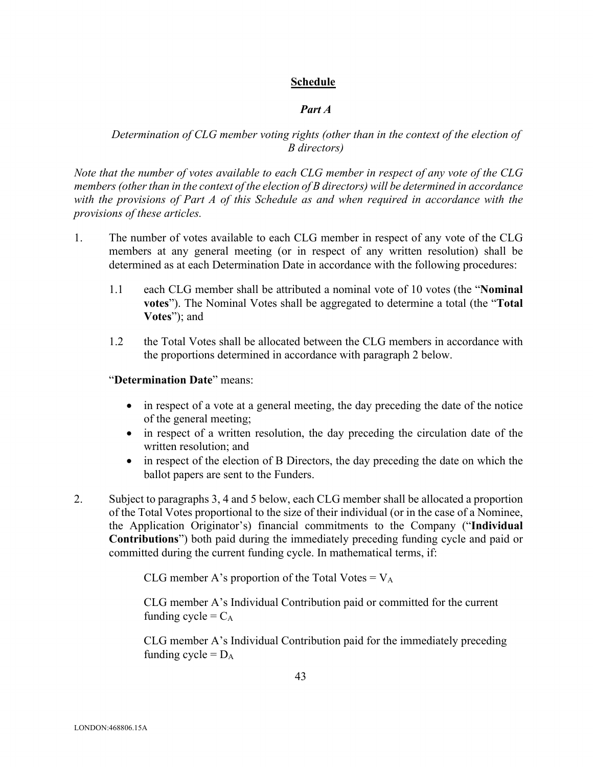## **Schedule**

## *Part A*

# *Determination of CLG member voting rights (other than in the context of the election of B directors)*

*Note that the number of votes available to each CLG member in respect of any vote of the CLG members (other than in the context of the election of B directors) will be determined in accordance with the provisions of Part A of this Schedule as and when required in accordance with the provisions of these articles.* 

- 1. The number of votes available to each CLG member in respect of any vote of the CLG members at any general meeting (or in respect of any written resolution) shall be determined as at each Determination Date in accordance with the following procedures:
	- 1.1 each CLG member shall be attributed a nominal vote of 10 votes (the "**Nominal votes**"). The Nominal Votes shall be aggregated to determine a total (the "**Total Votes**"); and
	- 1.2 the Total Votes shall be allocated between the CLG members in accordance with the proportions determined in accordance with paragraph 2 below.

## "**Determination Date**" means:

- in respect of a vote at a general meeting, the day preceding the date of the notice of the general meeting;
- in respect of a written resolution, the day preceding the circulation date of the written resolution; and
- in respect of the election of B Directors, the day preceding the date on which the ballot papers are sent to the Funders.
- 2. Subject to paragraphs 3, 4 and 5 below, each CLG member shall be allocated a proportion of the Total Votes proportional to the size of their individual (or in the case of a Nominee, the Application Originator's) financial commitments to the Company ("**Individual Contributions**") both paid during the immediately preceding funding cycle and paid or committed during the current funding cycle. In mathematical terms, if:

CLG member A's proportion of the Total Votes =  $V_A$ 

CLG member A's Individual Contribution paid or committed for the current funding cycle =  $C_A$ 

CLG member A's Individual Contribution paid for the immediately preceding funding cycle =  $D_A$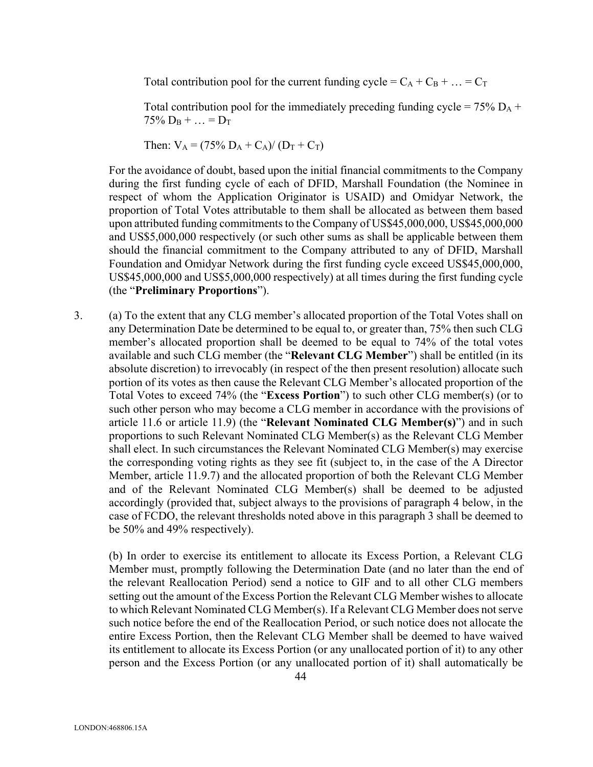Total contribution pool for the current funding cycle =  $C_A + C_B + ... = C_T$ 

Total contribution pool for the immediately preceding funding cycle =  $75\%$  D<sub>A</sub> +  $75\%$  D<sub>B</sub> + ... = D<sub>T</sub>

Then:  $V_A = (75\% D_A + C_A)/(D_T + C_T)$ 

For the avoidance of doubt, based upon the initial financial commitments to the Company during the first funding cycle of each of DFID, Marshall Foundation (the Nominee in respect of whom the Application Originator is USAID) and Omidyar Network, the proportion of Total Votes attributable to them shall be allocated as between them based upon attributed funding commitments to the Company of US\$45,000,000, US\$45,000,000 and US\$5,000,000 respectively (or such other sums as shall be applicable between them should the financial commitment to the Company attributed to any of DFID, Marshall Foundation and Omidyar Network during the first funding cycle exceed US\$45,000,000, US\$45,000,000 and US\$5,000,000 respectively) at all times during the first funding cycle (the "**Preliminary Proportions**").

3. (a) To the extent that any CLG member's allocated proportion of the Total Votes shall on any Determination Date be determined to be equal to, or greater than, 75% then such CLG member's allocated proportion shall be deemed to be equal to 74% of the total votes available and such CLG member (the "**Relevant CLG Member**") shall be entitled (in its absolute discretion) to irrevocably (in respect of the then present resolution) allocate such portion of its votes as then cause the Relevant CLG Member's allocated proportion of the Total Votes to exceed 74% (the "**Excess Portion**") to such other CLG member(s) (or to such other person who may become a CLG member in accordance with the provisions of article 11.6 or article 11.9) (the "**Relevant Nominated CLG Member(s)**") and in such proportions to such Relevant Nominated CLG Member(s) as the Relevant CLG Member shall elect. In such circumstances the Relevant Nominated CLG Member(s) may exercise the corresponding voting rights as they see fit (subject to, in the case of the A Director Member, article 11.9.7) and the allocated proportion of both the Relevant CLG Member and of the Relevant Nominated CLG Member(s) shall be deemed to be adjusted accordingly (provided that, subject always to the provisions of paragraph 4 below, in the case of FCDO, the relevant thresholds noted above in this paragraph 3 shall be deemed to be 50% and 49% respectively).

(b) In order to exercise its entitlement to allocate its Excess Portion, a Relevant CLG Member must, promptly following the Determination Date (and no later than the end of the relevant Reallocation Period) send a notice to GIF and to all other CLG members setting out the amount of the Excess Portion the Relevant CLG Member wishes to allocate to which Relevant Nominated CLG Member(s). If a Relevant CLG Member does not serve such notice before the end of the Reallocation Period, or such notice does not allocate the entire Excess Portion, then the Relevant CLG Member shall be deemed to have waived its entitlement to allocate its Excess Portion (or any unallocated portion of it) to any other person and the Excess Portion (or any unallocated portion of it) shall automatically be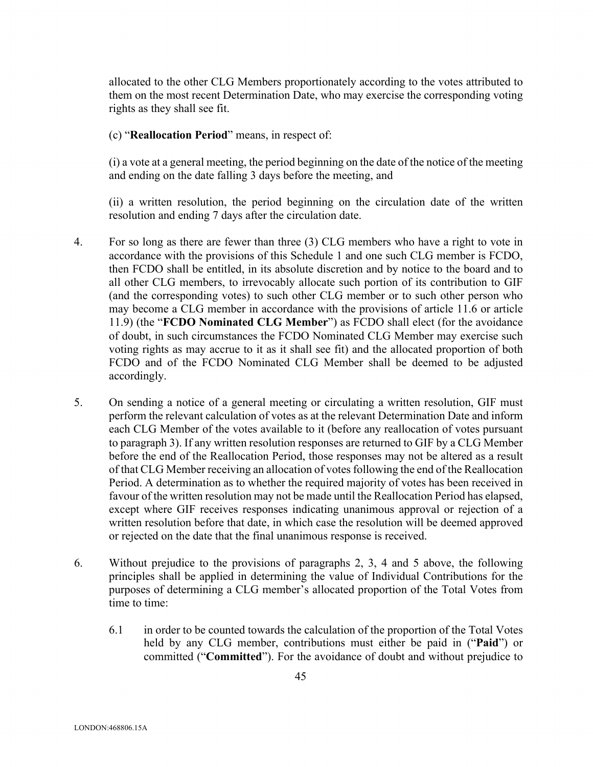allocated to the other CLG Members proportionately according to the votes attributed to them on the most recent Determination Date, who may exercise the corresponding voting rights as they shall see fit.

(c) "**Reallocation Period**" means, in respect of:

(i) a vote at a general meeting, the period beginning on the date of the notice of the meeting and ending on the date falling 3 days before the meeting, and

(ii) a written resolution, the period beginning on the circulation date of the written resolution and ending 7 days after the circulation date.

- 4. For so long as there are fewer than three (3) CLG members who have a right to vote in accordance with the provisions of this Schedule 1 and one such CLG member is FCDO, then FCDO shall be entitled, in its absolute discretion and by notice to the board and to all other CLG members, to irrevocably allocate such portion of its contribution to GIF (and the corresponding votes) to such other CLG member or to such other person who may become a CLG member in accordance with the provisions of article 11.6 or article 11.9) (the "**FCDO Nominated CLG Member**") as FCDO shall elect (for the avoidance of doubt, in such circumstances the FCDO Nominated CLG Member may exercise such voting rights as may accrue to it as it shall see fit) and the allocated proportion of both FCDO and of the FCDO Nominated CLG Member shall be deemed to be adjusted accordingly.
- 5. On sending a notice of a general meeting or circulating a written resolution, GIF must perform the relevant calculation of votes as at the relevant Determination Date and inform each CLG Member of the votes available to it (before any reallocation of votes pursuant to paragraph 3). If any written resolution responses are returned to GIF by a CLG Member before the end of the Reallocation Period, those responses may not be altered as a result of that CLG Member receiving an allocation of votes following the end of the Reallocation Period. A determination as to whether the required majority of votes has been received in favour of the written resolution may not be made until the Reallocation Period has elapsed, except where GIF receives responses indicating unanimous approval or rejection of a written resolution before that date, in which case the resolution will be deemed approved or rejected on the date that the final unanimous response is received.
- 6. Without prejudice to the provisions of paragraphs 2, 3, 4 and 5 above, the following principles shall be applied in determining the value of Individual Contributions for the purposes of determining a CLG member's allocated proportion of the Total Votes from time to time:
	- 6.1 in order to be counted towards the calculation of the proportion of the Total Votes held by any CLG member, contributions must either be paid in ("**Paid**") or committed ("**Committed**"). For the avoidance of doubt and without prejudice to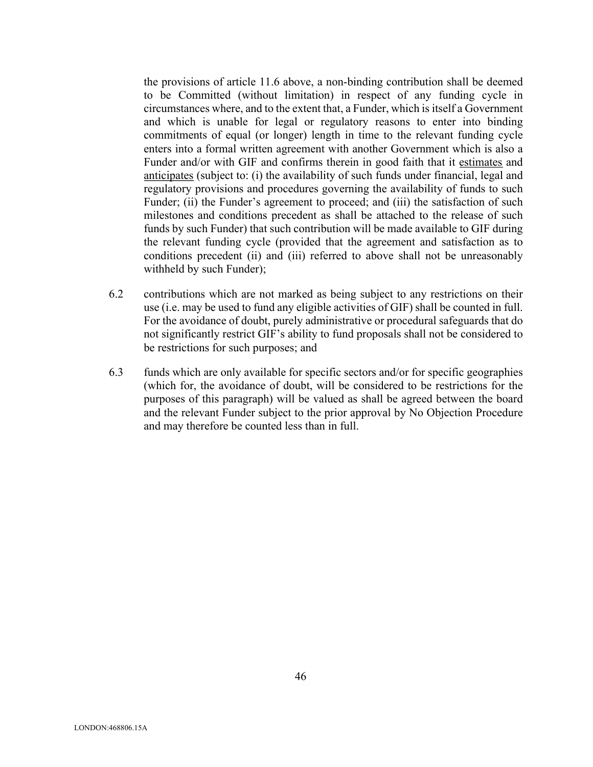the provisions of article 11.6 above, a non-binding contribution shall be deemed to be Committed (without limitation) in respect of any funding cycle in circumstances where, and to the extent that, a Funder, which is itself a Government and which is unable for legal or regulatory reasons to enter into binding commitments of equal (or longer) length in time to the relevant funding cycle enters into a formal written agreement with another Government which is also a Funder and/or with GIF and confirms therein in good faith that it estimates and anticipates (subject to: (i) the availability of such funds under financial, legal and regulatory provisions and procedures governing the availability of funds to such Funder; (ii) the Funder's agreement to proceed; and (iii) the satisfaction of such milestones and conditions precedent as shall be attached to the release of such funds by such Funder) that such contribution will be made available to GIF during the relevant funding cycle (provided that the agreement and satisfaction as to conditions precedent (ii) and (iii) referred to above shall not be unreasonably withheld by such Funder);

- 6.2 contributions which are not marked as being subject to any restrictions on their use (i.e. may be used to fund any eligible activities of GIF) shall be counted in full. For the avoidance of doubt, purely administrative or procedural safeguards that do not significantly restrict GIF's ability to fund proposals shall not be considered to be restrictions for such purposes; and
- 6.3 funds which are only available for specific sectors and/or for specific geographies (which for, the avoidance of doubt, will be considered to be restrictions for the purposes of this paragraph) will be valued as shall be agreed between the board and the relevant Funder subject to the prior approval by No Objection Procedure and may therefore be counted less than in full.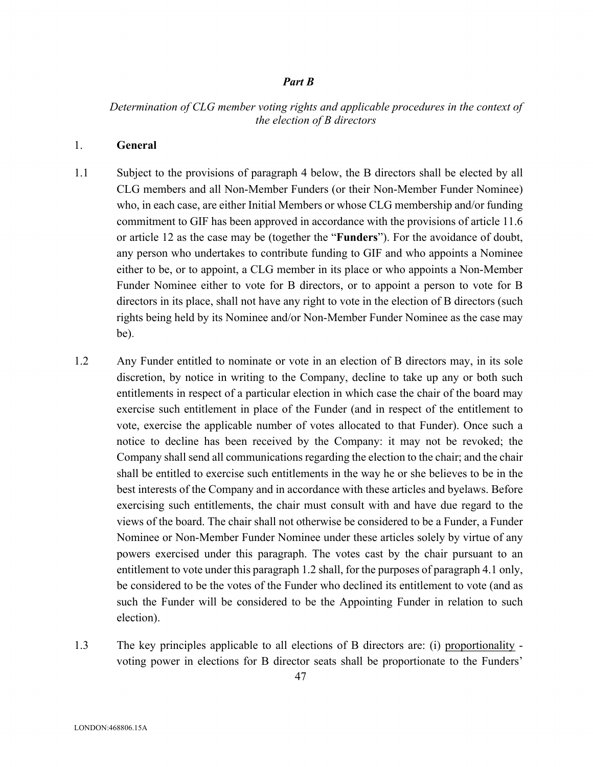#### *Part B*

## *Determination of CLG member voting rights and applicable procedures in the context of the election of B directors*

## 1. **General**

- 1.1 Subject to the provisions of paragraph 4 below, the B directors shall be elected by all CLG members and all Non-Member Funders (or their Non-Member Funder Nominee) who, in each case, are either Initial Members or whose CLG membership and/or funding commitment to GIF has been approved in accordance with the provisions of article 11.6 or article 12 as the case may be (together the "**Funders**"). For the avoidance of doubt, any person who undertakes to contribute funding to GIF and who appoints a Nominee either to be, or to appoint, a CLG member in its place or who appoints a Non-Member Funder Nominee either to vote for B directors, or to appoint a person to vote for B directors in its place, shall not have any right to vote in the election of B directors (such rights being held by its Nominee and/or Non-Member Funder Nominee as the case may be).
- 1.2 Any Funder entitled to nominate or vote in an election of B directors may, in its sole discretion, by notice in writing to the Company, decline to take up any or both such entitlements in respect of a particular election in which case the chair of the board may exercise such entitlement in place of the Funder (and in respect of the entitlement to vote, exercise the applicable number of votes allocated to that Funder). Once such a notice to decline has been received by the Company: it may not be revoked; the Company shall send all communications regarding the election to the chair; and the chair shall be entitled to exercise such entitlements in the way he or she believes to be in the best interests of the Company and in accordance with these articles and byelaws. Before exercising such entitlements, the chair must consult with and have due regard to the views of the board. The chair shall not otherwise be considered to be a Funder, a Funder Nominee or Non-Member Funder Nominee under these articles solely by virtue of any powers exercised under this paragraph. The votes cast by the chair pursuant to an entitlement to vote under this paragraph 1.2 shall, for the purposes of paragraph 4.1 only, be considered to be the votes of the Funder who declined its entitlement to vote (and as such the Funder will be considered to be the Appointing Funder in relation to such election).
- 1.3 The key principles applicable to all elections of B directors are: (i) proportionality voting power in elections for B director seats shall be proportionate to the Funders'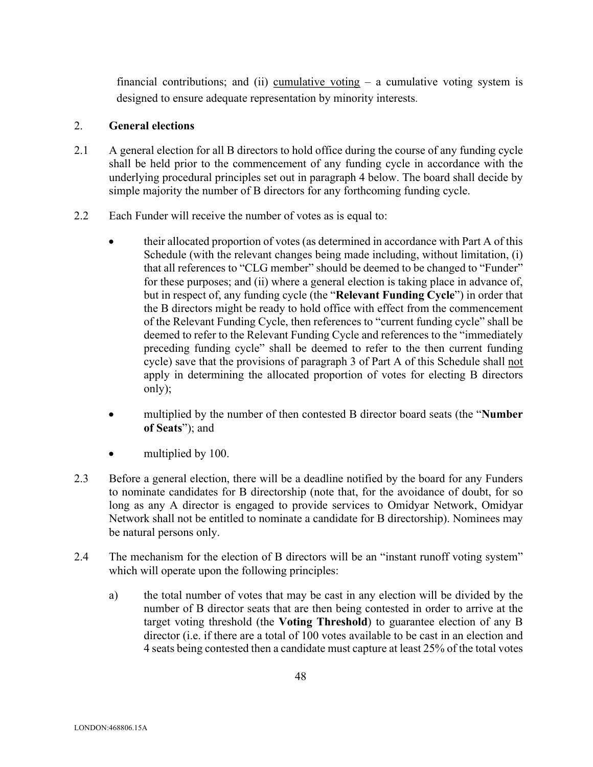financial contributions; and (ii) cumulative voting  $-$  a cumulative voting system is designed to ensure adequate representation by minority interests.

## 2. **General elections**

- 2.1 A general election for all B directors to hold office during the course of any funding cycle shall be held prior to the commencement of any funding cycle in accordance with the underlying procedural principles set out in paragraph 4 below. The board shall decide by simple majority the number of B directors for any forthcoming funding cycle.
- 2.2 Each Funder will receive the number of votes as is equal to:
	- their allocated proportion of votes (as determined in accordance with Part A of this Schedule (with the relevant changes being made including, without limitation, (i) that all references to "CLG member" should be deemed to be changed to "Funder" for these purposes; and (ii) where a general election is taking place in advance of, but in respect of, any funding cycle (the "**Relevant Funding Cycle**") in order that the B directors might be ready to hold office with effect from the commencement of the Relevant Funding Cycle, then references to "current funding cycle" shall be deemed to refer to the Relevant Funding Cycle and references to the "immediately preceding funding cycle" shall be deemed to refer to the then current funding cycle) save that the provisions of paragraph 3 of Part A of this Schedule shall not apply in determining the allocated proportion of votes for electing B directors only);
	- multiplied by the number of then contested B director board seats (the "**Number of Seats**"); and
	- multiplied by 100.
- 2.3 Before a general election, there will be a deadline notified by the board for any Funders to nominate candidates for B directorship (note that, for the avoidance of doubt, for so long as any A director is engaged to provide services to Omidyar Network, Omidyar Network shall not be entitled to nominate a candidate for B directorship). Nominees may be natural persons only.
- 2.4 The mechanism for the election of B directors will be an "instant runoff voting system" which will operate upon the following principles:
	- a) the total number of votes that may be cast in any election will be divided by the number of B director seats that are then being contested in order to arrive at the target voting threshold (the **Voting Threshold**) to guarantee election of any B director (i.e. if there are a total of 100 votes available to be cast in an election and 4 seats being contested then a candidate must capture at least 25% of the total votes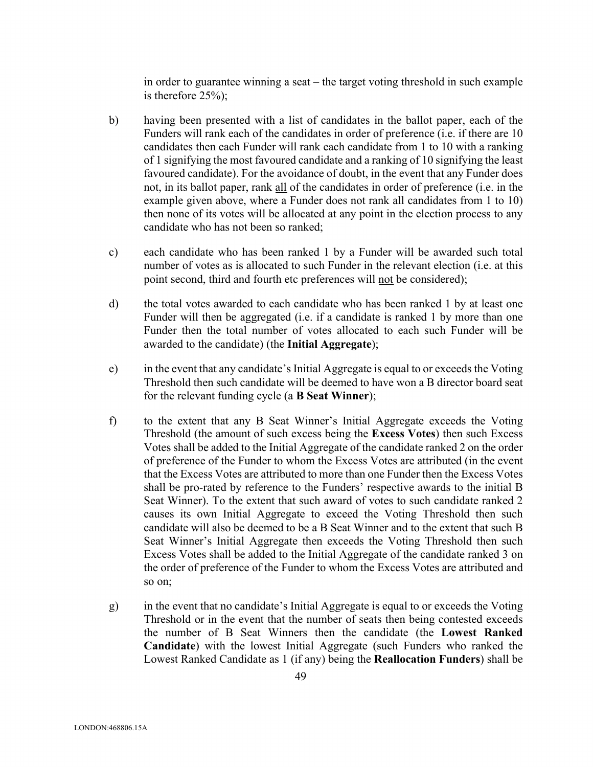in order to guarantee winning a seat – the target voting threshold in such example is therefore 25%);

- b) having been presented with a list of candidates in the ballot paper, each of the Funders will rank each of the candidates in order of preference (i.e. if there are 10 candidates then each Funder will rank each candidate from 1 to 10 with a ranking of 1 signifying the most favoured candidate and a ranking of 10 signifying the least favoured candidate). For the avoidance of doubt, in the event that any Funder does not, in its ballot paper, rank all of the candidates in order of preference (i.e. in the example given above, where a Funder does not rank all candidates from 1 to 10) then none of its votes will be allocated at any point in the election process to any candidate who has not been so ranked;
- c) each candidate who has been ranked 1 by a Funder will be awarded such total number of votes as is allocated to such Funder in the relevant election (i.e. at this point second, third and fourth etc preferences will not be considered);
- d) the total votes awarded to each candidate who has been ranked 1 by at least one Funder will then be aggregated (i.e. if a candidate is ranked 1 by more than one Funder then the total number of votes allocated to each such Funder will be awarded to the candidate) (the **Initial Aggregate**);
- e) in the event that any candidate's Initial Aggregate is equal to or exceeds the Voting Threshold then such candidate will be deemed to have won a B director board seat for the relevant funding cycle (a **B Seat Winner**);
- f) to the extent that any B Seat Winner's Initial Aggregate exceeds the Voting Threshold (the amount of such excess being the **Excess Votes**) then such Excess Votes shall be added to the Initial Aggregate of the candidate ranked 2 on the order of preference of the Funder to whom the Excess Votes are attributed (in the event that the Excess Votes are attributed to more than one Funder then the Excess Votes shall be pro-rated by reference to the Funders' respective awards to the initial B Seat Winner). To the extent that such award of votes to such candidate ranked 2 causes its own Initial Aggregate to exceed the Voting Threshold then such candidate will also be deemed to be a B Seat Winner and to the extent that such B Seat Winner's Initial Aggregate then exceeds the Voting Threshold then such Excess Votes shall be added to the Initial Aggregate of the candidate ranked 3 on the order of preference of the Funder to whom the Excess Votes are attributed and so on;
- g) in the event that no candidate's Initial Aggregate is equal to or exceeds the Voting Threshold or in the event that the number of seats then being contested exceeds the number of B Seat Winners then the candidate (the **Lowest Ranked Candidate**) with the lowest Initial Aggregate (such Funders who ranked the Lowest Ranked Candidate as 1 (if any) being the **Reallocation Funders**) shall be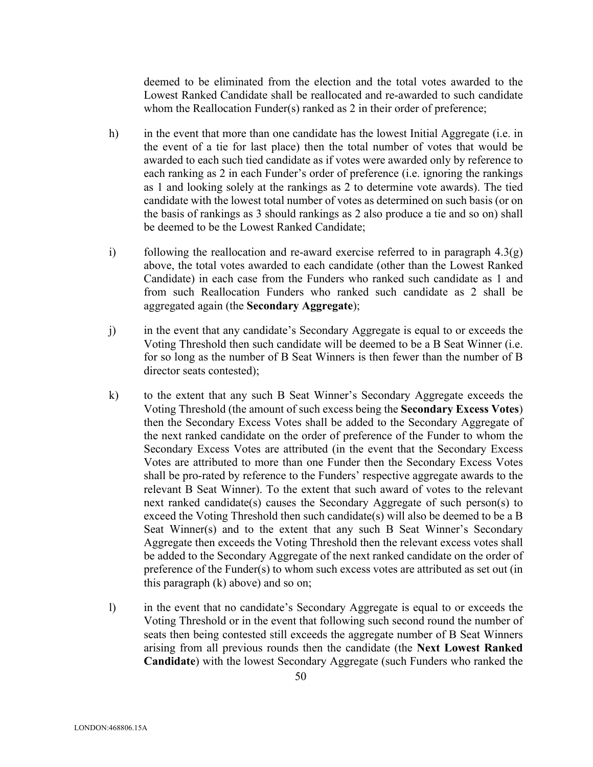deemed to be eliminated from the election and the total votes awarded to the Lowest Ranked Candidate shall be reallocated and re-awarded to such candidate whom the Reallocation Funder(s) ranked as 2 in their order of preference;

- h) in the event that more than one candidate has the lowest Initial Aggregate (i.e. in the event of a tie for last place) then the total number of votes that would be awarded to each such tied candidate as if votes were awarded only by reference to each ranking as 2 in each Funder's order of preference (i.e. ignoring the rankings as 1 and looking solely at the rankings as 2 to determine vote awards). The tied candidate with the lowest total number of votes as determined on such basis (or on the basis of rankings as 3 should rankings as 2 also produce a tie and so on) shall be deemed to be the Lowest Ranked Candidate;
- i) following the reallocation and re-award exercise referred to in paragraph  $4.3(q)$ above, the total votes awarded to each candidate (other than the Lowest Ranked Candidate) in each case from the Funders who ranked such candidate as 1 and from such Reallocation Funders who ranked such candidate as 2 shall be aggregated again (the **Secondary Aggregate**);
- j) in the event that any candidate's Secondary Aggregate is equal to or exceeds the Voting Threshold then such candidate will be deemed to be a B Seat Winner (i.e. for so long as the number of B Seat Winners is then fewer than the number of B director seats contested);
- k) to the extent that any such B Seat Winner's Secondary Aggregate exceeds the Voting Threshold (the amount of such excess being the **Secondary Excess Votes**) then the Secondary Excess Votes shall be added to the Secondary Aggregate of the next ranked candidate on the order of preference of the Funder to whom the Secondary Excess Votes are attributed (in the event that the Secondary Excess Votes are attributed to more than one Funder then the Secondary Excess Votes shall be pro-rated by reference to the Funders' respective aggregate awards to the relevant B Seat Winner). To the extent that such award of votes to the relevant next ranked candidate(s) causes the Secondary Aggregate of such person(s) to exceed the Voting Threshold then such candidate(s) will also be deemed to be a B Seat Winner(s) and to the extent that any such B Seat Winner's Secondary Aggregate then exceeds the Voting Threshold then the relevant excess votes shall be added to the Secondary Aggregate of the next ranked candidate on the order of preference of the Funder(s) to whom such excess votes are attributed as set out (in this paragraph (k) above) and so on;
- l) in the event that no candidate's Secondary Aggregate is equal to or exceeds the Voting Threshold or in the event that following such second round the number of seats then being contested still exceeds the aggregate number of B Seat Winners arising from all previous rounds then the candidate (the **Next Lowest Ranked Candidate**) with the lowest Secondary Aggregate (such Funders who ranked the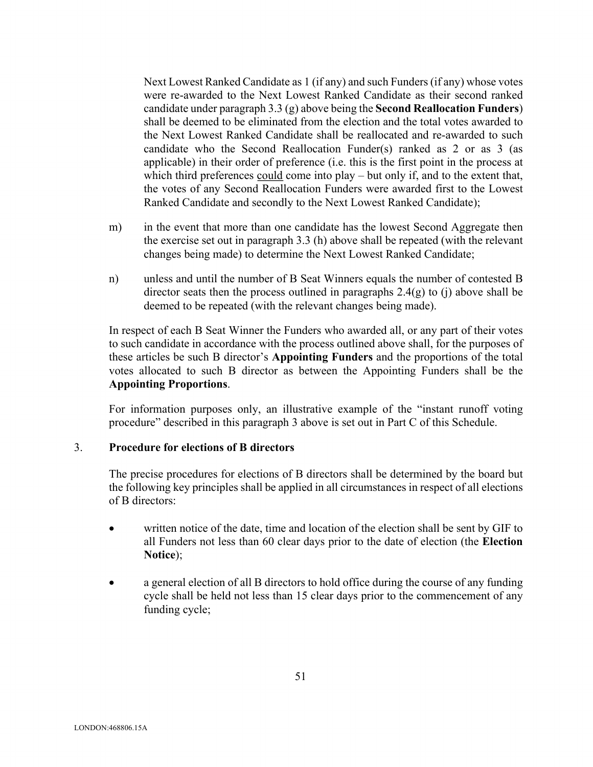Next Lowest Ranked Candidate as 1 (if any) and such Funders (if any) whose votes were re-awarded to the Next Lowest Ranked Candidate as their second ranked candidate under paragraph 3.3 (g) above being the **Second Reallocation Funders**) shall be deemed to be eliminated from the election and the total votes awarded to the Next Lowest Ranked Candidate shall be reallocated and re-awarded to such candidate who the Second Reallocation Funder(s) ranked as 2 or as 3 (as applicable) in their order of preference (i.e. this is the first point in the process at which third preferences **could** come into play – but only if, and to the extent that, the votes of any Second Reallocation Funders were awarded first to the Lowest Ranked Candidate and secondly to the Next Lowest Ranked Candidate);

- m) in the event that more than one candidate has the lowest Second Aggregate then the exercise set out in paragraph 3.3 (h) above shall be repeated (with the relevant changes being made) to determine the Next Lowest Ranked Candidate;
- n) unless and until the number of B Seat Winners equals the number of contested B director seats then the process outlined in paragraphs  $2.4(g)$  to (j) above shall be deemed to be repeated (with the relevant changes being made).

In respect of each B Seat Winner the Funders who awarded all, or any part of their votes to such candidate in accordance with the process outlined above shall, for the purposes of these articles be such B director's **Appointing Funders** and the proportions of the total votes allocated to such B director as between the Appointing Funders shall be the **Appointing Proportions**.

For information purposes only, an illustrative example of the "instant runoff voting procedure" described in this paragraph 3 above is set out in Part C of this Schedule.

#### 3. **Procedure for elections of B directors**

The precise procedures for elections of B directors shall be determined by the board but the following key principles shall be applied in all circumstances in respect of all elections of B directors:

- written notice of the date, time and location of the election shall be sent by GIF to all Funders not less than 60 clear days prior to the date of election (the **Election Notice**);
- a general election of all B directors to hold office during the course of any funding cycle shall be held not less than 15 clear days prior to the commencement of any funding cycle;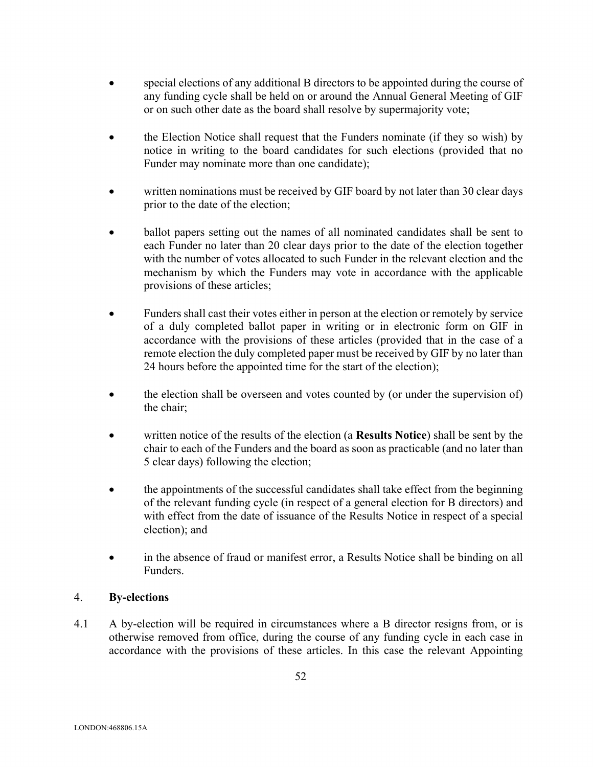- special elections of any additional B directors to be appointed during the course of any funding cycle shall be held on or around the Annual General Meeting of GIF or on such other date as the board shall resolve by supermajority vote;
- the Election Notice shall request that the Funders nominate (if they so wish) by notice in writing to the board candidates for such elections (provided that no Funder may nominate more than one candidate);
- written nominations must be received by GIF board by not later than 30 clear days prior to the date of the election;
- ballot papers setting out the names of all nominated candidates shall be sent to each Funder no later than 20 clear days prior to the date of the election together with the number of votes allocated to such Funder in the relevant election and the mechanism by which the Funders may vote in accordance with the applicable provisions of these articles;
- Funders shall cast their votes either in person at the election or remotely by service of a duly completed ballot paper in writing or in electronic form on GIF in accordance with the provisions of these articles (provided that in the case of a remote election the duly completed paper must be received by GIF by no later than 24 hours before the appointed time for the start of the election);
- the election shall be overseen and votes counted by (or under the supervision of) the chair;
- written notice of the results of the election (a **Results Notice**) shall be sent by the chair to each of the Funders and the board as soon as practicable (and no later than 5 clear days) following the election;
- the appointments of the successful candidates shall take effect from the beginning of the relevant funding cycle (in respect of a general election for B directors) and with effect from the date of issuance of the Results Notice in respect of a special election); and
- in the absence of fraud or manifest error, a Results Notice shall be binding on all Funders.

# 4. **By-elections**

4.1 A by-election will be required in circumstances where a B director resigns from, or is otherwise removed from office, during the course of any funding cycle in each case in accordance with the provisions of these articles. In this case the relevant Appointing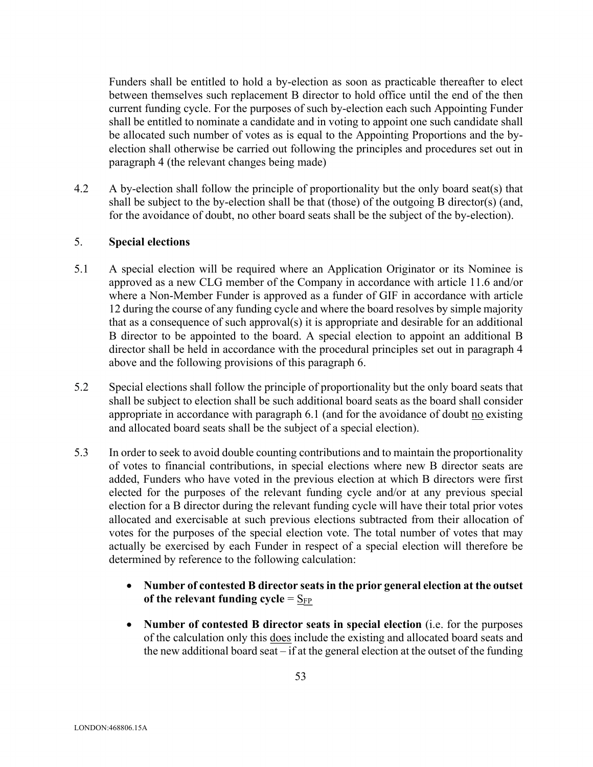Funders shall be entitled to hold a by-election as soon as practicable thereafter to elect between themselves such replacement B director to hold office until the end of the then current funding cycle. For the purposes of such by-election each such Appointing Funder shall be entitled to nominate a candidate and in voting to appoint one such candidate shall be allocated such number of votes as is equal to the Appointing Proportions and the byelection shall otherwise be carried out following the principles and procedures set out in paragraph 4 (the relevant changes being made)

4.2 A by-election shall follow the principle of proportionality but the only board seat(s) that shall be subject to the by-election shall be that (those) of the outgoing B director(s) (and, for the avoidance of doubt, no other board seats shall be the subject of the by-election).

## 5. **Special elections**

- 5.1 A special election will be required where an Application Originator or its Nominee is approved as a new CLG member of the Company in accordance with article 11.6 and/or where a Non-Member Funder is approved as a funder of GIF in accordance with article 12 during the course of any funding cycle and where the board resolves by simple majority that as a consequence of such approval(s) it is appropriate and desirable for an additional B director to be appointed to the board. A special election to appoint an additional B director shall be held in accordance with the procedural principles set out in paragraph 4 above and the following provisions of this paragraph 6.
- 5.2 Special elections shall follow the principle of proportionality but the only board seats that shall be subject to election shall be such additional board seats as the board shall consider appropriate in accordance with paragraph 6.1 (and for the avoidance of doubt no existing and allocated board seats shall be the subject of a special election).
- 5.3 In order to seek to avoid double counting contributions and to maintain the proportionality of votes to financial contributions, in special elections where new B director seats are added, Funders who have voted in the previous election at which B directors were first elected for the purposes of the relevant funding cycle and/or at any previous special election for a B director during the relevant funding cycle will have their total prior votes allocated and exercisable at such previous elections subtracted from their allocation of votes for the purposes of the special election vote. The total number of votes that may actually be exercised by each Funder in respect of a special election will therefore be determined by reference to the following calculation:
	- **Number of contested B director seatsin the prior general election at the outset**  of the relevant funding cycle  $=$   $S_{FP}$
	- **Number of contested B director seats in special election** (i.e. for the purposes of the calculation only this does include the existing and allocated board seats and the new additional board seat – if at the general election at the outset of the funding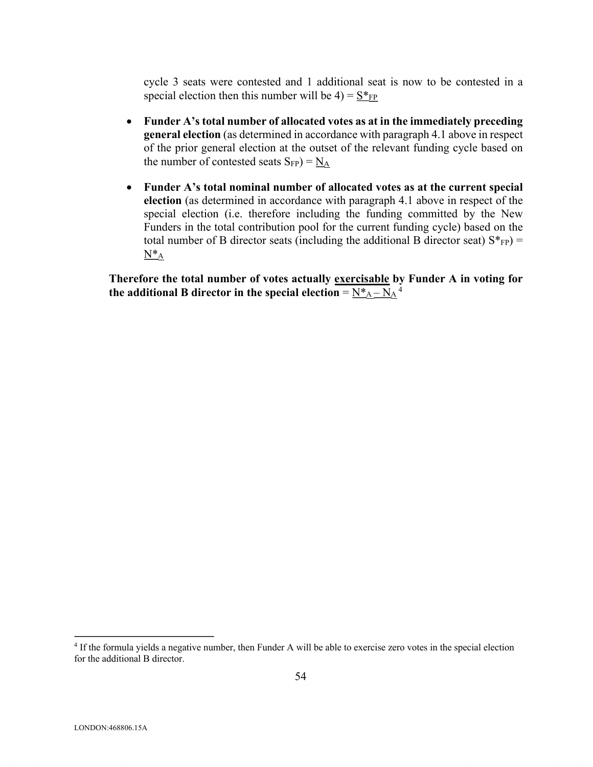cycle 3 seats were contested and 1 additional seat is now to be contested in a special election then this number will be  $4) = S^*_{FP}$ 

- **Funder A's total number of allocated votes as at in the immediately preceding general election** (as determined in accordance with paragraph 4.1 above in respect of the prior general election at the outset of the relevant funding cycle based on the number of contested seats  $S_{FP}$ ) =  $N_A$
- **Funder A's total nominal number of allocated votes as at the current special election** (as determined in accordance with paragraph 4.1 above in respect of the special election (i.e. therefore including the funding committed by the New Funders in the total contribution pool for the current funding cycle) based on the total number of B director seats (including the additional B director seat)  $S^*_{FP}$ ) =  $N^*$ <sub>A</sub>

**Therefore the total number of votes actually exercisable by Funder A in voting for**  the additional B director in the special election =  $\frac{N_{A} - N_{A}^2}{N_{A} + N_{A}}$ 

<sup>4</sup> If the formula yields a negative number, then Funder A will be able to exercise zero votes in the special election for the additional B director.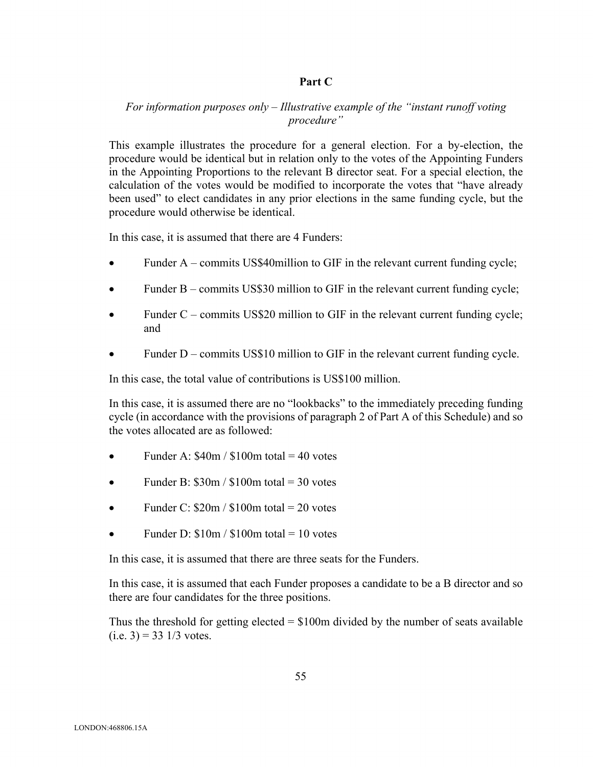## **Part C**

# *For information purposes only – Illustrative example of the "instant runoff voting procedure"*

This example illustrates the procedure for a general election. For a by-election, the procedure would be identical but in relation only to the votes of the Appointing Funders in the Appointing Proportions to the relevant B director seat. For a special election, the calculation of the votes would be modified to incorporate the votes that "have already been used" to elect candidates in any prior elections in the same funding cycle, but the procedure would otherwise be identical.

In this case, it is assumed that there are 4 Funders:

- Funder  $A$  commits US\$40 million to GIF in the relevant current funding cycle;
- Funder B commits US\$30 million to GIF in the relevant current funding cycle;
- Funder  $C$  commits US\$20 million to GIF in the relevant current funding cycle; and
- Funder D commits US\$10 million to GIF in the relevant current funding cycle.

In this case, the total value of contributions is US\$100 million.

In this case, it is assumed there are no "lookbacks" to the immediately preceding funding cycle (in accordance with the provisions of paragraph 2 of Part A of this Schedule) and so the votes allocated are as followed:

- Funder A:  $$40m / $100m$  total = 40 votes
- Funder B:  $$30m / $100m$  total = 30 votes
- Funder C:  $$20m / $100m$  total = 20 votes
- Funder D:  $$10m / $100m$  total = 10 votes

In this case, it is assumed that there are three seats for the Funders.

In this case, it is assumed that each Funder proposes a candidate to be a B director and so there are four candidates for the three positions.

Thus the threshold for getting elected  $= $100m$  divided by the number of seats available  $(i.e. 3) = 33 \frac{1}{3}$  votes.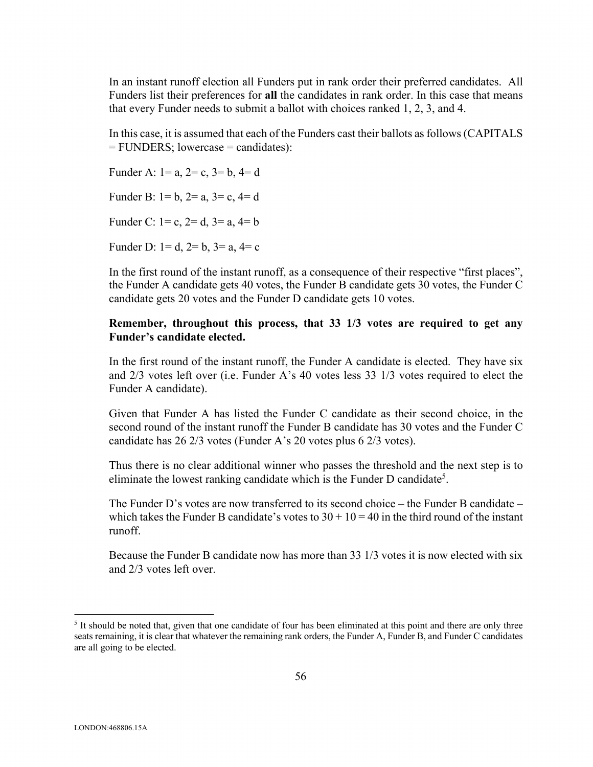In an instant runoff election all Funders put in rank order their preferred candidates. All Funders list their preferences for **all** the candidates in rank order. In this case that means that every Funder needs to submit a ballot with choices ranked 1, 2, 3, and 4.

In this case, it is assumed that each of the Funders cast their ballots as follows (CAPITALS = FUNDERS; lowercase = candidates):

Funder A:  $1 = a$ ,  $2 = c$ ,  $3 = b$ ,  $4 = d$ Funder B:  $1 = b$ ,  $2 = a$ ,  $3 = c$ ,  $4 = d$ Funder C:  $1 = c$ ,  $2 = d$ ,  $3 = a$ ,  $4 = b$ Funder D:  $1 = d$ ,  $2 = b$ ,  $3 = a$ ,  $4 = c$ 

In the first round of the instant runoff, as a consequence of their respective "first places", the Funder A candidate gets 40 votes, the Funder B candidate gets 30 votes, the Funder C candidate gets 20 votes and the Funder D candidate gets 10 votes.

### **Remember, throughout this process, that 33 1/3 votes are required to get any Funder's candidate elected.**

In the first round of the instant runoff, the Funder A candidate is elected. They have six and 2/3 votes left over (i.e. Funder A's 40 votes less 33 1/3 votes required to elect the Funder A candidate).

Given that Funder A has listed the Funder C candidate as their second choice, in the second round of the instant runoff the Funder B candidate has 30 votes and the Funder C candidate has 26 2/3 votes (Funder A's 20 votes plus 6 2/3 votes).

Thus there is no clear additional winner who passes the threshold and the next step is to eliminate the lowest ranking candidate which is the Funder D candidate<sup>5</sup>.

The Funder D's votes are now transferred to its second choice – the Funder B candidate – which takes the Funder B candidate's votes to  $30 + 10 = 40$  in the third round of the instant runoff.

Because the Funder B candidate now has more than 33 1/3 votes it is now elected with six and 2/3 votes left over.

<sup>&</sup>lt;sup>5</sup> It should be noted that, given that one candidate of four has been eliminated at this point and there are only three seats remaining, it is clear that whatever the remaining rank orders, the Funder A, Funder B, and Funder C candidates are all going to be elected.